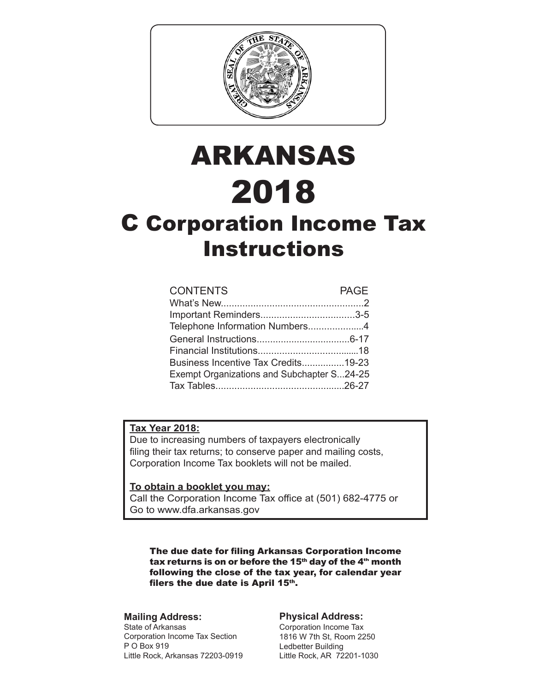

# ARKANSAS 2018 C Corporation Income Tax **Instructions**

| <b>CONTENTS</b>                            | <b>PAGE</b> |
|--------------------------------------------|-------------|
|                                            |             |
|                                            |             |
| Telephone Information Numbers4             |             |
|                                            |             |
|                                            |             |
| Business Incentive Tax Credits19-23        |             |
| Exempt Organizations and Subchapter S24-25 |             |
|                                            |             |
|                                            |             |

#### **Tax Year 2018:**

Due to increasing numbers of taxpayers electronically filing their tax returns; to conserve paper and mailing costs, Corporation Income Tax booklets will not be mailed.

#### **To obtain a booklet you may:**

Call the Corporation Income Tax office at (501) 682-4775 or Go to www.dfa.arkansas.gov

The due date for filing Arkansas Corporation Income tax returns is on or before the 15<sup>th</sup> day of the  $4<sup>th</sup>$  month following the close of the tax year, for calendar year filers the due date is April  $15<sup>th</sup>$ .

#### **Mailing Address:**

State of Arkansas Corporation Income Tax Section P O Box 919 Little Rock, Arkansas 72203-0919

#### **Physical Address:**

Corporation Income Tax 1816 W 7th St, Room 2250 Ledbetter Building Little Rock, AR 72201-1030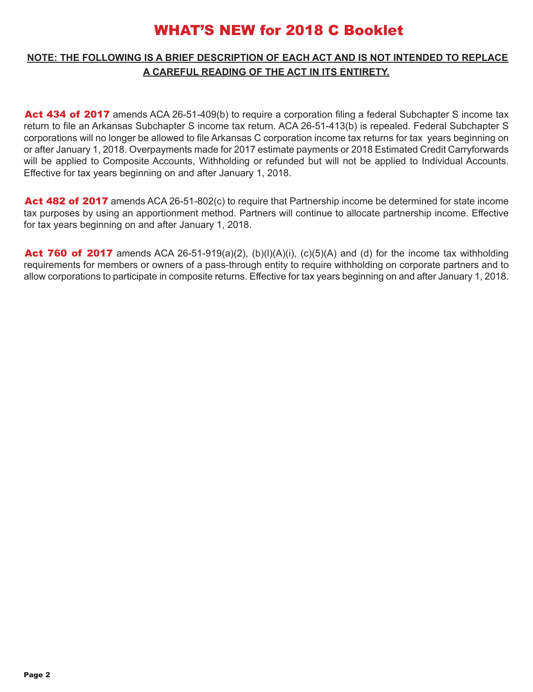### WHAT'S NEW for 2018 C Booklet

#### **NOTE: THE FOLLOWING IS A BRIEF DESCRIPTION OF EACH ACT AND IS NOT INTENDED TO REPLACE A CAREFUL READING OF THE ACT IN ITS ENTIRETY.**

Act 434 of 2017 amends ACA 26-51-409(b) to require a corporation filing a federal Subchapter S income tax return to file an Arkansas Subchapter S income tax return. ACA 26-51-413(b) is repealed. Federal Subchapter S corporations will no longer be allowed to file Arkansas C corporation income tax returns for tax years beginning on or after January 1, 2018. Overpayments made for 2017 estimate payments or 2018 Estimated Credit Carryforwards will be applied to Composite Accounts, Withholding or refunded but will not be applied to Individual Accounts. Effective for tax years beginning on and after January 1, 2018.

Act 482 of 2017 amends ACA 26-51-802(c) to require that Partnership income be determined for state income tax purposes by using an apportionment method. Partners will continue to allocate partnership income. Effective for tax years beginning on and after January 1, 2018.

Act 760 of 2017 amends ACA 26-51-919(a)(2), (b)(l)(A)(i), (c)(5)(A) and (d) for the income tax withholding requirements for members or owners of a pass-through entity to require withholding on corporate partners and to allow corporations to participate in composite returns. Effective for tax years beginning on and after January 1, 2018.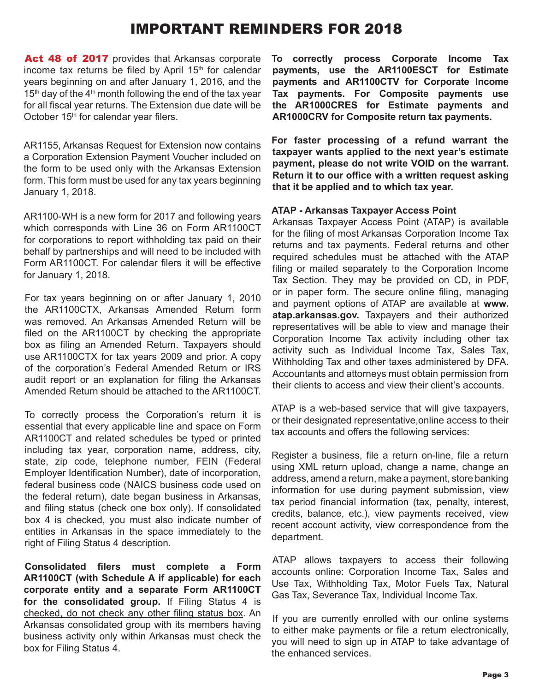### IMPORTANT REMINDERS FOR 2018

Act 48 of 2017 provides that Arkansas corporate income tax returns be filed by April 15<sup>th</sup> for calendar years beginning on and after January 1, 2016, and the  $15<sup>th</sup>$  day of the 4<sup>th</sup> month following the end of the tax year for all fiscal year returns. The Extension due date will be October 15<sup>th</sup> for calendar year filers.

AR1155, Arkansas Request for Extension now contains a Corporation Extension Payment Voucher included on the form to be used only with the Arkansas Extension form. This form must be used for any tax years beginning January 1, 2018.

AR1100-WH is a new form for 2017 and following years which corresponds with Line 36 on Form AR1100CT for corporations to report withholding tax paid on their behalf by partnerships and will need to be included with Form AR1100CT. For calendar filers it will be effective for January 1, 2018.

For tax years beginning on or after January 1, 2010 the AR1100CTX, Arkansas Amended Return form was removed. An Arkansas Amended Return will be filed on the AR1100CT by checking the appropriate box as filing an Amended Return. Taxpayers should use AR1100CTX for tax years 2009 and prior. A copy of the corporation's Federal Amended Return or IRS audit report or an explanation for filing the Arkansas Amended Return should be attached to the AR1100CT.

To correctly process the Corporation's return it is essential that every applicable line and space on Form AR1100CT and related schedules be typed or printed including tax year, corporation name, address, city, state, zip code, telephone number, FEIN (Federal Employer Identification Number), date of incorporation, federal business code (NAICS business code used on the federal return), date began business in Arkansas, and filing status (check one box only). If consolidated box 4 is checked, you must also indicate number of entities in Arkansas in the space immediately to the right of Filing Status 4 description.

**Consolidated filers must complete a Form AR1100CT (with Schedule A if applicable) for each corporate entity and a separate Form AR1100CT**  for the consolidated group. If Filing Status 4 is checked, do not check any other filing status box. An Arkansas consolidated group with its members having business activity only within Arkansas must check the box for Filing Status 4.

**To correctly process Corporate Income Tax payments, use the AR1100ESCT for Estimate payments and AR1100CTV for Corporate Income Tax payments. For Composite payments use the AR1000CRES for Estimate payments and AR1000CRV for Composite return tax payments.**

**For faster processing of a refund warrant the taxpayer wants applied to the next year's estimate payment, please do not write VOID on the warrant. Return it to our office with a written request asking that it be applied and to which tax year.** 

#### **ATAP - Arkansas Taxpayer Access Point**

Arkansas Taxpayer Access Point (ATAP) is available for the filing of most Arkansas Corporation Income Tax returns and tax payments. Federal returns and other required schedules must be attached with the ATAP filing or mailed separately to the Corporation Income Tax Section. They may be provided on CD, in PDF, or in paper form. The secure online filing, managing and payment options of ATAP are available at **www. atap.arkansas.gov.** Taxpayers and their authorized representatives will be able to view and manage their Corporation Income Tax activity including other tax activity such as Individual Income Tax, Sales Tax, Withholding Tax and other taxes administered by DFA. Accountants and attorneys must obtain permission from their clients to access and view their client's accounts.

ATAP is a web-based service that will give taxpayers, or their designated representative,online access to their tax accounts and offers the following services:

Register a business, file a return on-line, file a return using XML return upload, change a name, change an address, amend a return, make a payment, store banking information for use during payment submission, view tax period financial information (tax, penalty, interest, credits, balance, etc.), view payments received, view recent account activity, view correspondence from the department.

ATAP allows taxpayers to access their following accounts online: Corporation Income Tax, Sales and Use Tax, Withholding Tax, Motor Fuels Tax, Natural Gas Tax, Severance Tax, Individual Income Tax.

If you are currently enrolled with our online systems to either make payments or file a return electronically, you will need to sign up in ATAP to take advantage of the enhanced services.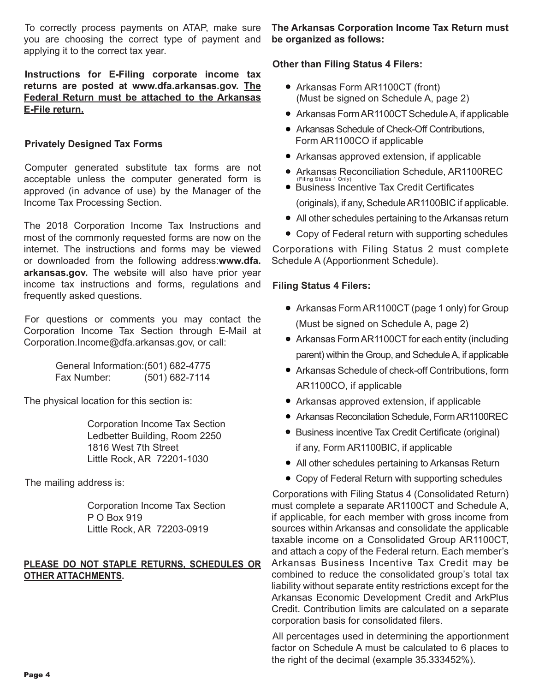To correctly process payments on ATAP, make sure you are choosing the correct type of payment and applying it to the correct tax year.

**Instructions for E-Filing corporate income tax returns are posted at www.dfa.arkansas.gov. The Federal Return must be attached to the Arkansas E-File return.**

#### **Privately Designed Tax Forms**

Computer generated substitute tax forms are not acceptable unless the computer generated form is approved (in advance of use) by the Manager of the Income Tax Processing Section.

The 2018 Corporation Income Tax Instructions and most of the commonly requested forms are now on the internet. The instructions and forms may be viewed or downloaded from the following address:**www.dfa. arkansas.gov.** The website will also have prior year income tax instructions and forms, regulations and frequently asked questions.

For questions or comments you may contact the Corporation Income Tax Section through E-Mail at Corporation.Income@dfa.arkansas.gov, or call:

> General Information:(501) 682-4775 Fax Number: (501) 682-7114

The physical location for this section is:

 Corporation Income Tax Section Ledbetter Building, Room 2250 1816 West 7th Street Little Rock, AR 72201-1030

The mailing address is:

 Corporation Income Tax Section P O Box 919 Little Rock, AR 72203-0919

#### **PLEASE DO NOT STAPLE RETURNS, SCHEDULES OR OTHER ATTACHMENTS.**

**The Arkansas Corporation Income Tax Return must be organized as follows:** 

#### **Other than Filing Status 4 Filers:**

- Arkansas Form AR1100CT (front) (Must be signed on Schedule A, page 2)
- Arkansas Form AR1100CT Schedule A, if applicable
- Arkansas Schedule of Check-Off Contributions, Form AR1100CO if applicable
- Arkansas approved extension, if applicable
- Arkansas Reconciliation Schedule, AR1100REC
- **Business Incentive Tax Credit Certificates**  (originals), if any, Schedule AR1100BIC if applicable. (Filing Status 1 Only)
- All other schedules pertaining to the Arkansas return
- Copy of Federal return with supporting schedules

Corporations with Filing Status 2 must complete Schedule A (Apportionment Schedule).

#### **Filing Status 4 Filers:**

- Arkansas Form AR1100CT (page 1 only) for Group (Must be signed on Schedule A, page 2)
- Arkansas Form AR1100CT for each entity (including parent) within the Group, and Schedule A, if applicable
- Arkansas Schedule of check-off Contributions, form AR1100CO, if applicable
- Arkansas approved extension, if applicable
- Arkansas Reconcilation Schedule, Form AR1100REC
- **•** Business incentive Tax Credit Certificate (original) if any, Form AR1100BIC, if applicable
- All other schedules pertaining to Arkansas Return
- Copy of Federal Return with supporting schedules

Corporations with Filing Status 4 (Consolidated Return) must complete a separate AR1100CT and Schedule A, if applicable, for each member with gross income from sources within Arkansas and consolidate the applicable taxable income on a Consolidated Group AR1100CT, and attach a copy of the Federal return. Each member's Arkansas Business Incentive Tax Credit may be combined to reduce the consolidated group's total tax liability without separate entity restrictions except for the Arkansas Economic Development Credit and ArkPlus Credit. Contribution limits are calculated on a separate corporation basis for consolidated filers.

All percentages used in determining the apportionment factor on Schedule A must be calculated to 6 places to the right of the decimal (example 35.333452%).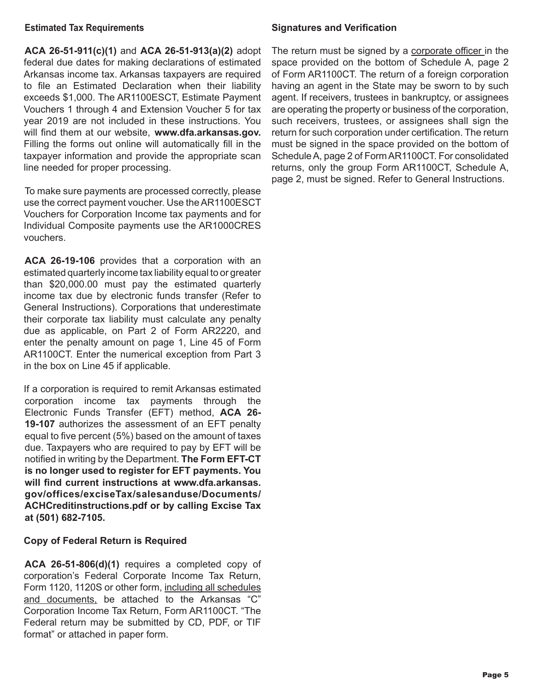#### **Estimated Tax Requirements**

**ACA 26-51-911(c)(1)** and **ACA 26-51-913(a)(2)** adopt federal due dates for making declarations of estimated Arkansas income tax. Arkansas taxpayers are required to file an Estimated Declaration when their liability exceeds \$1,000. The AR1100ESCT, Estimate Payment Vouchers 1 through 4 and Extension Voucher 5 for tax year 2019 are not included in these instructions. You will find them at our website, **www.dfa.arkansas.gov.**  Filling the forms out online will automatically fill in the taxpayer information and provide the appropriate scan line needed for proper processing.

To make sure payments are processed correctly, please use the correct payment voucher. Use the AR1100ESCT Vouchers for Corporation Income tax payments and for Individual Composite payments use the AR1000CRES vouchers.

**ACA 26-19-106** provides that a corporation with an estimated quarterly income tax liability equal to or greater than \$20,000.00 must pay the estimated quarterly income tax due by electronic funds transfer (Refer to General Instructions). Corporations that underestimate their corporate tax liability must calculate any penalty due as applicable, on Part 2 of Form AR2220, and enter the penalty amount on page 1, Line 45 of Form AR1100CT. Enter the numerical exception from Part 3 in the box on Line 45 if applicable.

If a corporation is required to remit Arkansas estimated corporation income tax payments through the Electronic Funds Transfer (EFT) method, **ACA 26- 19-107** authorizes the assessment of an EFT penalty equal to five percent (5%) based on the amount of taxes due. Taxpayers who are required to pay by EFT will be notified in writing by the Department. **The Form EFT-CT is no longer used to register for EFT payments. You will find current instructions at www.dfa.arkansas. gov/offices/exciseTax/salesanduse/Documents/ ACHCreditinstructions.pdf or by calling Excise Tax at (501) 682-7105.**

#### **Copy of Federal Return is Required**

**ACA 26-51-806(d)(1)** requires a completed copy of corporation's Federal Corporate Income Tax Return, Form 1120, 1120S or other form, including all schedules and documents, be attached to the Arkansas "C" Corporation Income Tax Return, Form AR1100CT. "The Federal return may be submitted by CD, PDF, or TIF format" or attached in paper form.

#### **Signatures and Verification**

The return must be signed by a corporate officer in the space provided on the bottom of Schedule A, page 2 of Form AR1100CT. The return of a foreign corporation having an agent in the State may be sworn to by such agent. If receivers, trustees in bankruptcy, or assignees are operating the property or business of the corporation, such receivers, trustees, or assignees shall sign the return for such corporation under certification. The return must be signed in the space provided on the bottom of Schedule A, page 2 of Form AR1100CT. For consolidated returns, only the group Form AR1100CT, Schedule A, page 2, must be signed. Refer to General Instructions.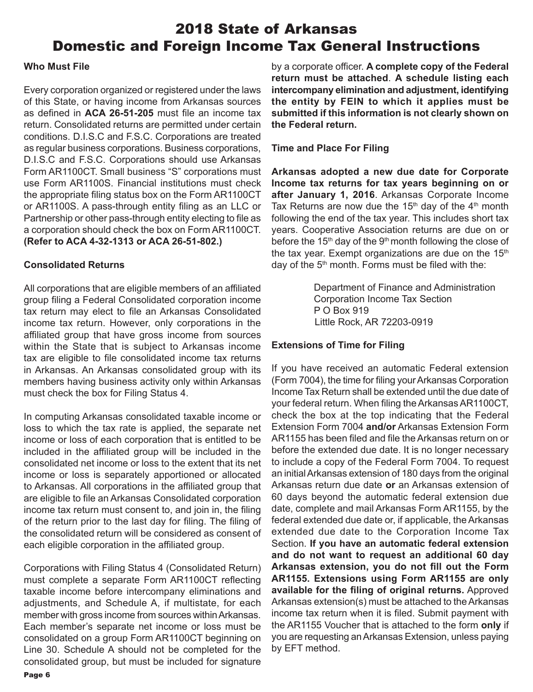### 2018 State of Arkansas Domestic and Foreign Income Tax General Instructions

#### **Who Must File**

Every corporation organized or registered under the laws of this State, or having income from Arkansas sources as defined in **ACA 26-51-205** must file an income tax return. Consolidated returns are permitted under certain conditions. D.I.S.C and F.S.C. Corporations are treated as regular business corporations. Business corporations, D.I.S.C and F.S.C. Corporations should use Arkansas Form AR1100CT. Small business "S" corporations must use Form AR1100S. Financial institutions must check the appropriate filing status box on the Form AR1100CT or AR1100S. A pass-through entity filing as an LLC or Partnership or other pass-through entity electing to file as a corporation should check the box on Form AR1100CT. **(Refer to ACA 4-32-1313 or ACA 26-51-802.)**

#### **Consolidated Returns**

All corporations that are eligible members of an affiliated group filing a Federal Consolidated corporation income tax return may elect to file an Arkansas Consolidated income tax return. However, only corporations in the affiliated group that have gross income from sources within the State that is subject to Arkansas income tax are eligible to file consolidated income tax returns in Arkansas. An Arkansas consolidated group with its members having business activity only within Arkansas must check the box for Filing Status 4.

In computing Arkansas consolidated taxable income or loss to which the tax rate is applied, the separate net income or loss of each corporation that is entitled to be included in the affiliated group will be included in the consolidated net income or loss to the extent that its net income or loss is separately apportioned or allocated to Arkansas. All corporations in the affiliated group that are eligible to file an Arkansas Consolidated corporation income tax return must consent to, and join in, the filing of the return prior to the last day for filing. The filing of the consolidated return will be considered as consent of each eligible corporation in the affiliated group.

Corporations with Filing Status 4 (Consolidated Return) must complete a separate Form AR1100CT reflecting taxable income before intercompany eliminations and adjustments, and Schedule A, if multistate, for each member with gross income from sources within Arkansas. Each member's separate net income or loss must be consolidated on a group Form AR1100CT beginning on Line 30. Schedule A should not be completed for the consolidated group, but must be included for signature

by a corporate officer. **A complete copy of the Federal return must be attached**. **A schedule listing each intercompany elimination and adjustment, identifying the entity by FEIN to which it applies must be submitted if this information is not clearly shown on the Federal return.**

#### **Time and Place For Filing**

**Arkansas adopted a new due date for Corporate Income tax returns for tax years beginning on or after January 1, 2016**. Arkansas Corporate Income Tax Returns are now due the  $15<sup>th</sup>$  day of the  $4<sup>th</sup>$  month following the end of the tax year. This includes short tax years. Cooperative Association returns are due on or before the 15<sup>th</sup> day of the 9<sup>th</sup> month following the close of the tax year. Exempt organizations are due on the  $15<sup>th</sup>$ day of the  $5<sup>th</sup>$  month. Forms must be filed with the:

> Department of Finance and Administration Corporation Income Tax Section P O Box 919 Little Rock, AR 72203-0919

#### **Extensions of Time for Filing**

If you have received an automatic Federal extension (Form 7004), the time for filing your Arkansas Corporation Income Tax Return shall be extended until the due date of your federal return. When filing the Arkansas AR1100CT, check the box at the top indicating that the Federal Extension Form 7004 **and/or** Arkansas Extension Form AR1155 has been filed and file the Arkansas return on or before the extended due date. It is no longer necessary to include a copy of the Federal Form 7004. To request an initial Arkansas extension of 180 days from the original Arkansas return due date **or** an Arkansas extension of 60 days beyond the automatic federal extension due date, complete and mail Arkansas Form AR1155, by the federal extended due date or, if applicable, the Arkansas extended due date to the Corporation Income Tax Section. **If you have an automatic federal extension and do not want to request an additional 60 day Arkansas extension, you do not fill out the Form AR1155. Extensions using Form AR1155 are only available for the filing of original returns.** Approved Arkansas extension(s) must be attached to the Arkansas income tax return when it is filed. Submit payment with the AR1155 Voucher that is attached to the form **only** if you are requesting an Arkansas Extension, unless paying by EFT method.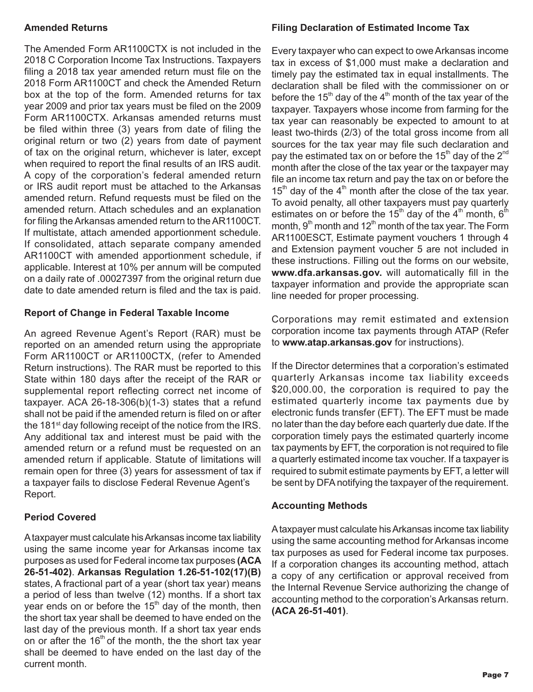#### **Amended Returns**

The Amended Form AR1100CTX is not included in the 2018 C Corporation Income Tax Instructions. Taxpayers filing a 2018 tax year amended return must file on the 2018 Form AR1100CT and check the Amended Return box at the top of the form. Amended returns for tax year 2009 and prior tax years must be filed on the 2009 Form AR1100CTX. Arkansas amended returns must be filed within three (3) years from date of filing the original return or two (2) years from date of payment of tax on the original return, whichever is later, except when required to report the final results of an IRS audit. A copy of the corporation's federal amended return or IRS audit report must be attached to the Arkansas amended return. Refund requests must be filed on the amended return. Attach schedules and an explanation for filing the Arkansas amended return to the AR1100CT. If multistate, attach amended apportionment schedule. If consolidated, attach separate company amended AR1100CT with amended apportionment schedule, if applicable. Interest at 10% per annum will be computed on a daily rate of .00027397 from the original return due date to date amended return is filed and the tax is paid.

#### **Report of Change in Federal Taxable Income**

An agreed Revenue Agent's Report (RAR) must be reported on an amended return using the appropriate Form AR1100CT or AR1100CTX, (refer to Amended Return instructions). The RAR must be reported to this State within 180 days after the receipt of the RAR or supplemental report reflecting correct net income of taxpayer. ACA 26-18-306(b)(1-3) states that a refund shall not be paid if the amended return is filed on or after the 181<sup>st</sup> day following receipt of the notice from the IRS. Any additional tax and interest must be paid with the amended return or a refund must be requested on an amended return if applicable. Statute of limitations will remain open for three (3) years for assessment of tax if a taxpayer fails to disclose Federal Revenue Agent's Report.

#### **Period Covered**

A taxpayer must calculate his Arkansas income tax liability using the same income year for Arkansas income tax purposes as used for Federal income tax purposes **(ACA 26-51-402)**. **Arkansas Regulation 1.26-51-102(17)(B)** states, A fractional part of a year (short tax year) means a period of less than twelve (12) months. If a short tax year ends on or before the  $15<sup>th</sup>$  day of the month, then the short tax year shall be deemed to have ended on the last day of the previous month. If a short tax year ends on or after the  $16<sup>th</sup>$  of the month, the the short tax year shall be deemed to have ended on the last day of the current month.

#### **Filing Declaration of Estimated Income Tax**

Every taxpayer who can expect to owe Arkansas income tax in excess of \$1,000 must make a declaration and timely pay the estimated tax in equal installments. The declaration shall be filed with the commissioner on or before the 15<sup>th</sup> day of the 4<sup>th</sup> month of the tax year of the taxpayer. Taxpayers whose income from farming for the tax year can reasonably be expected to amount to at least two-thirds (2/3) of the total gross income from all sources for the tax year may file such declaration and pay the estimated tax on or before the 15<sup>th</sup> day of the 2<sup>nd</sup> month after the close of the tax year or the taxpayer may file an income tax return and pay the tax on or before the  $15<sup>th</sup>$  day of the 4<sup>th</sup> month after the close of the tax year. To avoid penalty, all other taxpayers must pay quarterly estimates on or before the 15<sup>th</sup> day of the 4<sup>th</sup> month, 6<sup>th</sup> month,  $9<sup>th</sup>$  month and 12<sup>th</sup> month of the tax year. The Form AR1100ESCT, Estimate payment vouchers 1 through 4 and Extension payment voucher 5 are not included in these instructions. Filling out the forms on our website, **www.dfa.arkansas.gov.** will automatically fill in the taxpayer information and provide the appropriate scan line needed for proper processing.

Corporations may remit estimated and extension corporation income tax payments through ATAP (Refer to **www.atap.arkansas.gov** for instructions).

If the Director determines that a corporation's estimated quarterly Arkansas income tax liability exceeds \$20,000.00, the corporation is required to pay the estimated quarterly income tax payments due by electronic funds transfer (EFT). The EFT must be made no later than the day before each quarterly due date. If the corporation timely pays the estimated quarterly income tax payments by EFT, the corporation is not required to file a quarterly estimated income tax voucher. If a taxpayer is required to submit estimate payments by EFT, a letter will be sent by DFA notifying the taxpayer of the requirement.

#### **Accounting Methods**

A taxpayer must calculate his Arkansas income tax liability using the same accounting method for Arkansas income tax purposes as used for Federal income tax purposes. If a corporation changes its accounting method, attach a copy of any certification or approval received from the Internal Revenue Service authorizing the change of accounting method to the corporation's Arkansas return. **(ACA 26-51-401)**.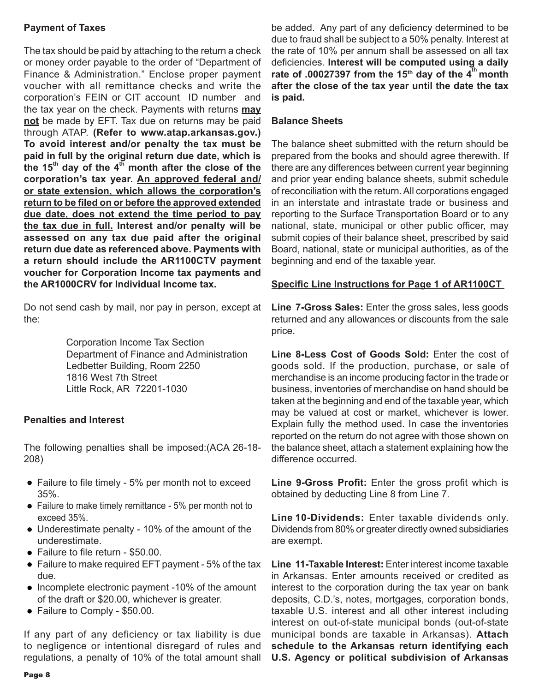#### **Payment of Taxes**

The tax should be paid by attaching to the return a check or money order payable to the order of "Department of Finance & Administration." Enclose proper payment voucher with all remittance checks and write the corporation's FEIN or CIT account ID number and the tax year on the check. Payments with returns **may not** be made by EFT. Tax due on returns may be paid through ATAP. **(Refer to www.atap.arkansas.gov.) To avoid interest and/or penalty the tax must be paid in full by the original return due date, which is the 15th day of the 4th month after the close of the corporation's tax year. An approved federal and/ or state extension, which allows the corporation's return to be filed on or before the approved extended due date, does not extend the time period to pay the tax due in full. Interest and/or penalty will be assessed on any tax due paid after the original return due date as referenced above. Payments with a return should include the AR1100CTV payment voucher for Corporation Income tax payments and the AR1000CRV for Individual Income tax.**

Do not send cash by mail, nor pay in person, except at the:

> Corporation Income Tax Section Department of Finance and Administration Ledbetter Building, Room 2250 1816 West 7th Street Little Rock, AR 72201-1030

#### **Penalties and Interest**

The following penalties shall be imposed:(ACA 26-18- 208)

- Failure to file timely 5% per month not to exceed 35%.
- Failure to make timely remittance 5% per month not to exceed 35%.
- Underestimate penalty 10% of the amount of the underestimate.
- Failure to file return \$50.00.
- Failure to make required EFT payment 5% of the tax due.
- $\bullet$  Incomplete electronic payment -10% of the amount of the draft or \$20.00, whichever is greater.
- Failure to Comply \$50.00.

If any part of any deficiency or tax liability is due to negligence or intentional disregard of rules and regulations, a penalty of 10% of the total amount shall

be added. Any part of any deficiency determined to be due to fraud shall be subject to a 50% penalty. Interest at the rate of 10% per annum shall be assessed on all tax deficiencies. **Interest will be computed using a daily**  rate of .00027397 from the 15<sup>th</sup> day of the 4<sup>th</sup> month **after the close of the tax year until the date the tax is paid.**

#### **Balance Sheets**

The balance sheet submitted with the return should be prepared from the books and should agree therewith. If there are any differences between current year beginning and prior year ending balance sheets, submit schedule of reconciliation with the return. All corporations engaged in an interstate and intrastate trade or business and reporting to the Surface Transportation Board or to any national, state, municipal or other public officer, may submit copies of their balance sheet, prescribed by said Board, national, state or municipal authorities, as of the beginning and end of the taxable year.

### **Specific Line Instructions for Page 1 of AR1100CT**

**Line 7-Gross Sales:** Enter the gross sales, less goods returned and any allowances or discounts from the sale price.

**Line 8-Less Cost of Goods Sold:** Enter the cost of goods sold. If the production, purchase, or sale of merchandise is an income producing factor in the trade or business, inventories of merchandise on hand should be taken at the beginning and end of the taxable year, which may be valued at cost or market, whichever is lower. Explain fully the method used. In case the inventories reported on the return do not agree with those shown on the balance sheet, attach a statement explaining how the difference occurred.

**Line 9-Gross Profit:** Enter the gross profit which is obtained by deducting Line 8 from Line 7.

**Line 10-Dividends:** Enter taxable dividends only. Dividends from 80% or greater directly owned subsidiaries are exempt.

**Line 11-Taxable Interest:** Enter interest income taxable in Arkansas. Enter amounts received or credited as interest to the corporation during the tax year on bank deposits, C.D.'s, notes, mortgages, corporation bonds, taxable U.S. interest and all other interest including interest on out-of-state municipal bonds (out-of-state municipal bonds are taxable in Arkansas). **Attach schedule to the Arkansas return identifying each U.S. Agency or political subdivision of Arkansas**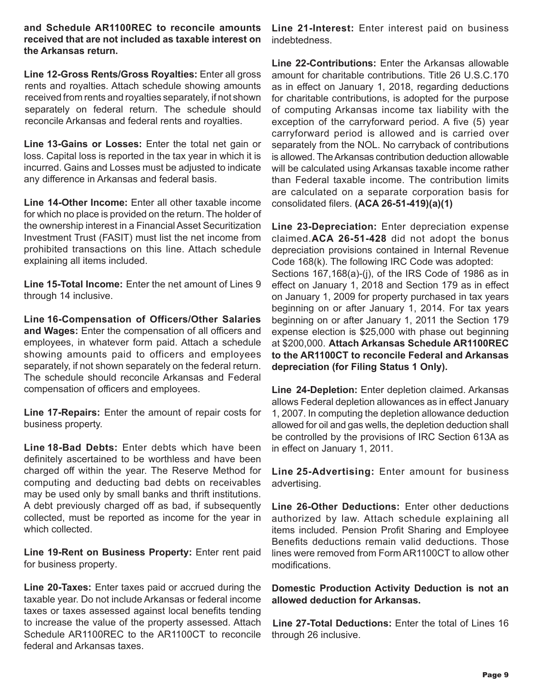**and Schedule AR1100REC to reconcile amounts received that are not included as taxable interest on the Arkansas return.**

**Line 12-Gross Rents/Gross Royalties:** Enter all gross rents and royalties. Attach schedule showing amounts received from rents and royalties separately, if not shown separately on federal return. The schedule should reconcile Arkansas and federal rents and royalties.

**Line 13-Gains or Losses:** Enter the total net gain or loss. Capital loss is reported in the tax year in which it is incurred. Gains and Losses must be adjusted to indicate any difference in Arkansas and federal basis.

**Line 14-Other Income:** Enter all other taxable income for which no place is provided on the return. The holder of the ownership interest in a Financial Asset Securitization Investment Trust (FASIT) must list the net income from prohibited transactions on this line. Attach schedule explaining all items included.

**Line 15-Total Income:** Enter the net amount of Lines 9 through 14 inclusive.

**Line 16-Compensation of Officers/Other Salaries and Wages:** Enter the compensation of all officers and employees, in whatever form paid. Attach a schedule showing amounts paid to officers and employees separately, if not shown separately on the federal return. The schedule should reconcile Arkansas and Federal compensation of officers and employees.

**Line 17-Repairs:** Enter the amount of repair costs for business property.

**Line 18-Bad Debts:** Enter debts which have been definitely ascertained to be worthless and have been charged off within the year. The Reserve Method for computing and deducting bad debts on receivables may be used only by small banks and thrift institutions. A debt previously charged off as bad, if subsequently collected, must be reported as income for the year in which collected.

**Line 19-Rent on Business Property:** Enter rent paid for business property.

**Line 20-Taxes:** Enter taxes paid or accrued during the taxable year. Do not include Arkansas or federal income taxes or taxes assessed against local benefits tending to increase the value of the property assessed. Attach Schedule AR1100REC to the AR1100CT to reconcile federal and Arkansas taxes.

**Line 21-Interest:** Enter interest paid on business indebtedness.

**Line 22-Contributions:** Enter the Arkansas allowable amount for charitable contributions. Title 26 U.S.C.170 as in effect on January 1, 2018, regarding deductions for charitable contributions, is adopted for the purpose of computing Arkansas income tax liability with the exception of the carryforward period. A five (5) year carryforward period is allowed and is carried over separately from the NOL. No carryback of contributions is allowed. The Arkansas contribution deduction allowable will be calculated using Arkansas taxable income rather than Federal taxable income. The contribution limits are calculated on a separate corporation basis for consolidated filers. **(ACA 26-51-419)(a)(1)**

**Line 23-Depreciation:** Enter depreciation expense claimed.**ACA 26-51-428** did not adopt the bonus depreciation provisions contained in Internal Revenue Code 168(k). The following IRC Code was adopted: Sections 167,168(a)-(j), of the IRS Code of 1986 as in effect on January 1, 2018 and Section 179 as in effect on January 1, 2009 for property purchased in tax years beginning on or after January 1, 2014. For tax years beginning on or after January 1, 2011 the Section 179 expense election is \$25,000 with phase out beginning at \$200,000. **Attach Arkansas Schedule AR1100REC to the AR1100CT to reconcile Federal and Arkansas depreciation (for Filing Status 1 Only).**

**Line 24-Depletion:** Enter depletion claimed. Arkansas allows Federal depletion allowances as in effect January 1, 2007. In computing the depletion allowance deduction allowed for oil and gas wells, the depletion deduction shall be controlled by the provisions of IRC Section 613A as in effect on January 1, 2011.

**Line 25-Advertising:** Enter amount for business advertising.

**Line 26-Other Deductions:** Enter other deductions authorized by law. Attach schedule explaining all items included. Pension Profit Sharing and Employee Benefits deductions remain valid deductions. Those lines were removed from Form AR1100CT to allow other modifications.

**Domestic Production Activity Deduction is not an allowed deduction for Arkansas.**

**Line 27-Total Deductions:** Enter the total of Lines 16 through 26 inclusive.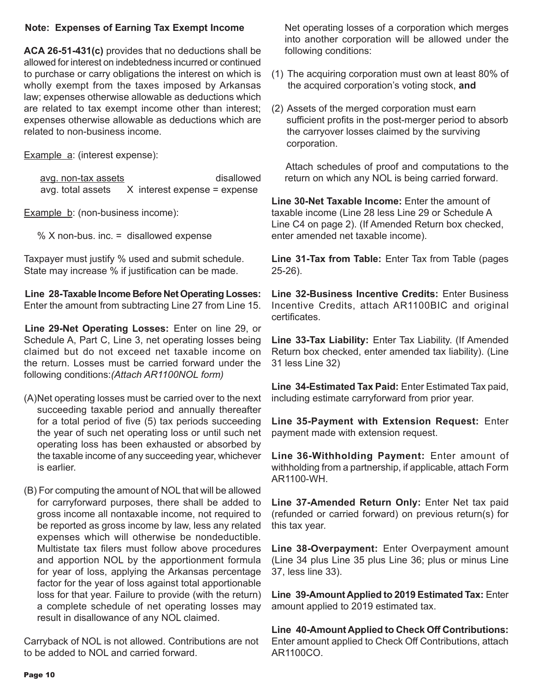#### **Note: Expenses of Earning Tax Exempt Income**

**ACA 26-51-431(c)** provides that no deductions shall be allowed for interest on indebtedness incurred or continued to purchase or carry obligations the interest on which is wholly exempt from the taxes imposed by Arkansas law; expenses otherwise allowable as deductions which are related to tax exempt income other than interest; expenses otherwise allowable as deductions which are related to non-business income.

Example a: (interest expense):

avg. non-tax assets and the disallowed avg. total assets  $X$  interest expense = expense

Example b: (non-business income):

% X non-bus. inc. = disallowed expense

Taxpayer must justify % used and submit schedule. State may increase % if justification can be made.

**Line 28-Taxable Income Before Net Operating Losses:** Enter the amount from subtracting Line 27 from Line 15.

**Line 29-Net Operating Losses:** Enter on line 29, or Schedule A, Part C, Line 3, net operating losses being claimed but do not exceed net taxable income on the return. Losses must be carried forward under the following conditions:*(Attach AR1100NOL form)*

- (A)Net operating losses must be carried over to the next succeeding taxable period and annually thereafter for a total period of five (5) tax periods succeeding the year of such net operating loss or until such net operating loss has been exhausted or absorbed by the taxable income of any succeeding year, whichever is earlier.
- (B) For computing the amount of NOL that will be allowed for carryforward purposes, there shall be added to gross income all nontaxable income, not required to be reported as gross income by law, less any related expenses which will otherwise be nondeductible. Multistate tax filers must follow above procedures and apportion NOL by the apportionment formula for year of loss, applying the Arkansas percentage factor for the year of loss against total apportionable loss for that year. Failure to provide (with the return) a complete schedule of net operating losses may result in disallowance of any NOL claimed.

Carryback of NOL is not allowed. Contributions are not to be added to NOL and carried forward.

Net operating losses of a corporation which merges into another corporation will be allowed under the following conditions:

- (1) The acquiring corporation must own at least 80% of the acquired corporation's voting stock, **and**
- (2) Assets of the merged corporation must earn sufficient profits in the post-merger period to absorb the carryover losses claimed by the surviving corporation.

 Attach schedules of proof and computations to the return on which any NOL is being carried forward.

**Line 30-Net Taxable Income:** Enter the amount of taxable income (Line 28 less Line 29 or Schedule A Line C4 on page 2). (If Amended Return box checked, enter amended net taxable income).

**Line 31-Tax from Table:** Enter Tax from Table (pages 25-26).

**Line 32-Business Incentive Credits:** Enter Business Incentive Credits, attach AR1100BIC and original certificates.

**Line 33-Tax Liability:** Enter Tax Liability. (If Amended Return box checked, enter amended tax liability). (Line 31 less Line 32)

**Line 34-Estimated Tax Paid:** Enter Estimated Tax paid, including estimate carryforward from prior year.

**Line 35-Payment with Extension Request:** Enter payment made with extension request.

**Line 36-Withholding Payment:** Enter amount of withholding from a partnership, if applicable, attach Form AR1100-WH.

**Line 37-Amended Return Only:** Enter Net tax paid (refunded or carried forward) on previous return(s) for this tax year.

**Line 38-Overpayment:** Enter Overpayment amount (Line 34 plus Line 35 plus Line 36; plus or minus Line 37, less line 33).

**Line 39-Amount Applied to 2019 Estimated Tax:** Enter amount applied to 2019 estimated tax.

**Line 40-Amount Applied to Check Off Contributions:** Enter amount applied to Check Off Contributions, attach AR1100CO.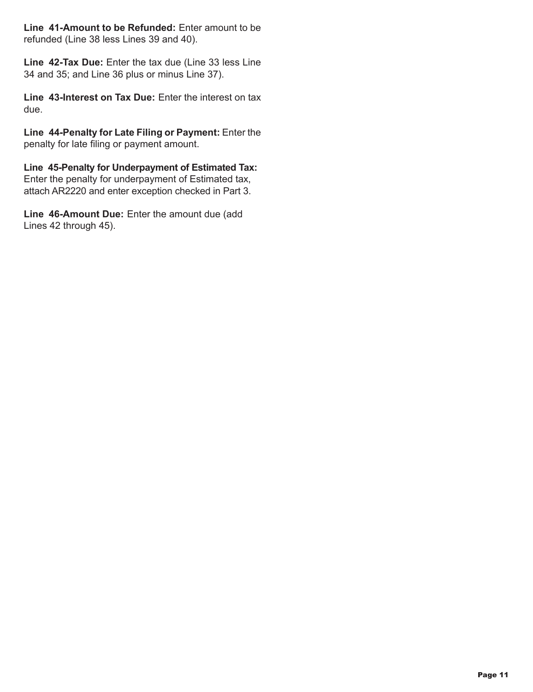**Line 41-Amount to be Refunded:** Enter amount to be refunded (Line 38 less Lines 39 and 40).

**Line 42-Tax Due:** Enter the tax due (Line 33 less Line 34 and 35; and Line 36 plus or minus Line 37).

**Line 43-Interest on Tax Due:** Enter the interest on tax due.

**Line 44-Penalty for Late Filing or Payment:** Enter the penalty for late filing or payment amount.

**Line 45-Penalty for Underpayment of Estimated Tax:** Enter the penalty for underpayment of Estimated tax, attach AR2220 and enter exception checked in Part 3.

**Line 46-Amount Due:** Enter the amount due (add Lines 42 through 45).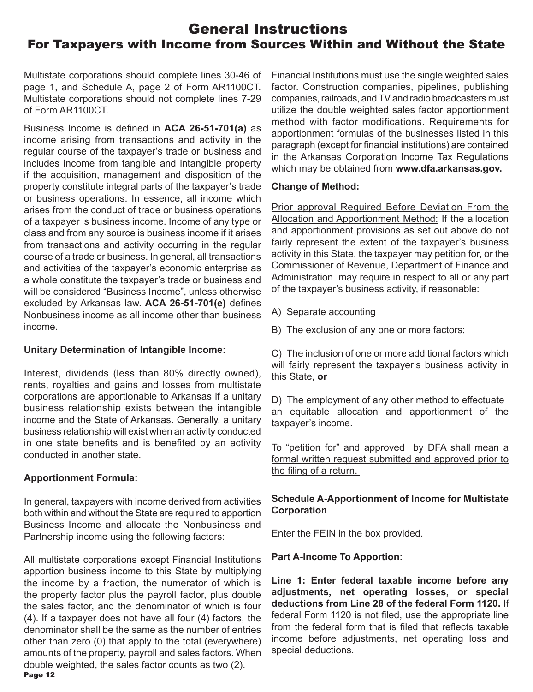### General Instructions For Taxpayers with Income from Sources Within and Without the State

Multistate corporations should complete lines 30-46 of page 1, and Schedule A, page 2 of Form AR1100CT. Multistate corporations should not complete lines 7-29 of Form AR1100CT.

Business Income is defined in **ACA 26-51-701(a)** as income arising from transactions and activity in the regular course of the taxpayer's trade or business and includes income from tangible and intangible property if the acquisition, management and disposition of the property constitute integral parts of the taxpayer's trade or business operations. In essence, all income which arises from the conduct of trade or business operations of a taxpayer is business income. Income of any type or class and from any source is business income if it arises from transactions and activity occurring in the regular course of a trade or business. In general, all transactions and activities of the taxpayer's economic enterprise as a whole constitute the taxpayer's trade or business and will be considered "Business Income", unless otherwise excluded by Arkansas law. **ACA 26-51-701(e)** defines Nonbusiness income as all income other than business income.

#### **Unitary Determination of Intangible Income:**

Interest, dividends (less than 80% directly owned), rents, royalties and gains and losses from multistate corporations are apportionable to Arkansas if a unitary business relationship exists between the intangible income and the State of Arkansas. Generally, a unitary business relationship will exist when an activity conducted in one state benefits and is benefited by an activity conducted in another state.

#### **Apportionment Formula:**

In general, taxpayers with income derived from activities both within and without the State are required to apportion Business Income and allocate the Nonbusiness and Partnership income using the following factors:

Page 12 All multistate corporations except Financial Institutions apportion business income to this State by multiplying the income by a fraction, the numerator of which is the property factor plus the payroll factor, plus double the sales factor, and the denominator of which is four (4). If a taxpayer does not have all four (4) factors, the denominator shall be the same as the number of entries other than zero (0) that apply to the total (everywhere) amounts of the property, payroll and sales factors. When double weighted, the sales factor counts as two (2).

Financial Institutions must use the single weighted sales factor. Construction companies, pipelines, publishing companies, railroads, and TV and radio broadcasters must utilize the double weighted sales factor apportionment method with factor modifications. Requirements for apportionment formulas of the businesses listed in this paragraph (except for financial institutions) are contained in the Arkansas Corporation Income Tax Regulations which may be obtained from **www.dfa.arkansas.gov.**

#### **Change of Method:**

 Prior approval Required Before Deviation From the Allocation and Apportionment Method: If the allocation and apportionment provisions as set out above do not fairly represent the extent of the taxpayer's business activity in this State, the taxpayer may petition for, or the Commissioner of Revenue, Department of Finance and Administration may require in respect to all or any part of the taxpayer's business activity, if reasonable:

- A) Separate accounting
- B) The exclusion of any one or more factors;

C) The inclusion of one or more additional factors which will fairly represent the taxpayer's business activity in this State, **or** 

D) The employment of any other method to effectuate an equitable allocation and apportionment of the taxpayer's income.

To "petition for" and approved by DFA shall mean a formal written request submitted and approved prior to the filing of a return.

#### **Schedule A-Apportionment of Income for Multistate Corporation**

Enter the FEIN in the box provided.

#### **Part A-Income To Apportion:**

**Line 1: Enter federal taxable income before any adjustments, net operating losses, or special deductions from Line 28 of the federal Form 1120.** If federal Form 1120 is not filed, use the appropriate line from the federal form that is filed that reflects taxable income before adjustments, net operating loss and special deductions.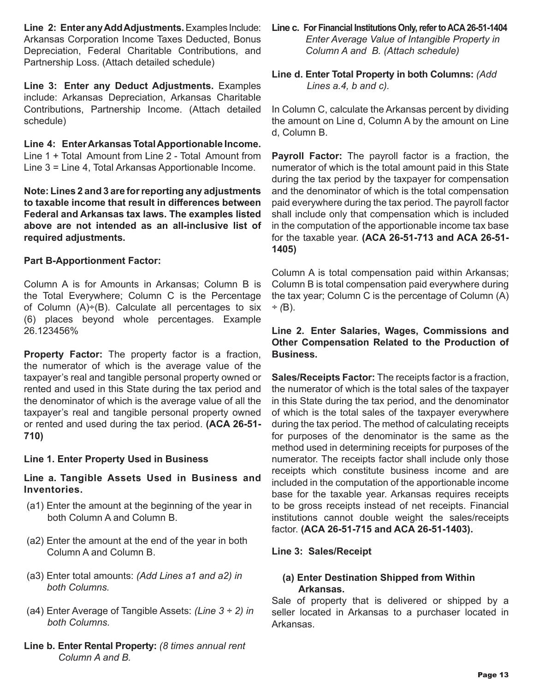**Line 2: Enter any Add Adjustments.** Examples Include: Arkansas Corporation Income Taxes Deducted, Bonus Depreciation, Federal Charitable Contributions, and Partnership Loss. (Attach detailed schedule)

**Line 3: Enter any Deduct Adjustments.** Examples include: Arkansas Depreciation, Arkansas Charitable Contributions, Partnership Income. (Attach detailed schedule)

**Line 4: Enter Arkansas Total Apportionable Income.** Line 1 + Total Amount from Line 2 - Total Amount from Line 3 = Line 4, Total Arkansas Apportionable Income.

**Note: Lines 2 and 3 are for reporting any adjustments to taxable income that result in differences between Federal and Arkansas tax laws. The examples listed above are not intended as an all-inclusive list of required adjustments.**

#### **Part B-Apportionment Factor:**

Column A is for Amounts in Arkansas; Column B is the Total Everywhere; Column C is the Percentage of Column  $(A) \div (B)$ . Calculate all percentages to six (6) places beyond whole percentages. Example 26.123456%

**Property Factor:** The property factor is a fraction, the numerator of which is the average value of the taxpayer's real and tangible personal property owned or rented and used in this State during the tax period and the denominator of which is the average value of all the taxpayer's real and tangible personal property owned or rented and used during the tax period. **(ACA 26-51- 710)**

#### **Line 1. Enter Property Used in Business**

#### **Line a. Tangible Assets Used in Business and Inventories.**

- (a1) Enter the amount at the beginning of the year in both Column A and Column B.
- (a2) Enter the amount at the end of the year in both Column A and Column B.
- (a3) Enter total amounts: *(Add Lines a1 and a2) in both Columns.*
- (a4) Enter Average of Tangible Assets: *(Line 3 ÷ 2) in both Columns.*
- **Line b. Enter Rental Property:** *(8 times annual rent Column A and B.*
- **Line c. For Financial Institutions Only, refer to ACA 26-51-1404** *Enter Average Value of Intangible Property in Column A and B. (Attach schedule)*
- **Line d. Enter Total Property in both Columns:** *(Add Lines a.4, b and c).*

In Column C, calculate the Arkansas percent by dividing the amount on Line d, Column A by the amount on Line d, Column B.

**Payroll Factor:** The payroll factor is a fraction, the numerator of which is the total amount paid in this State during the tax period by the taxpayer for compensation and the denominator of which is the total compensation paid everywhere during the tax period. The payroll factor shall include only that compensation which is included in the computation of the apportionable income tax base for the taxable year. **(ACA 26-51-713 and ACA 26-51- 1405)**

Column A is total compensation paid within Arkansas; Column B is total compensation paid everywhere during the tax year; Column C is the percentage of Column (A) *÷ (*B).

#### **Line 2. Enter Salaries, Wages, Commissions and Other Compensation Related to the Production of Business.**

**Sales/Receipts Factor:** The receipts factor is a fraction, the numerator of which is the total sales of the taxpayer in this State during the tax period, and the denominator of which is the total sales of the taxpayer everywhere during the tax period. The method of calculating receipts for purposes of the denominator is the same as the method used in determining receipts for purposes of the numerator. The receipts factor shall include only those receipts which constitute business income and are included in the computation of the apportionable income base for the taxable year. Arkansas requires receipts to be gross receipts instead of net receipts. Financial institutions cannot double weight the sales/receipts factor. **(ACA 26-51-715 and ACA 26-51-1403).**

#### **Line 3: Sales/Receipt**

#### **(a) Enter Destination Shipped from Within Arkansas.**

Sale of property that is delivered or shipped by a seller located in Arkansas to a purchaser located in Arkansas.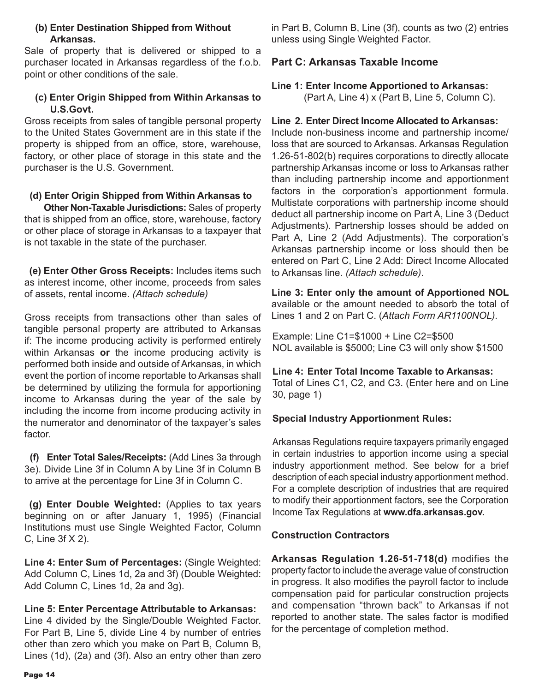#### **(b) Enter Destination Shipped from Without Arkansas.**

Sale of property that is delivered or shipped to a purchaser located in Arkansas regardless of the f.o.b. point or other conditions of the sale.

#### **(c) Enter Origin Shipped from Within Arkansas to U.S.Govt.**

Gross receipts from sales of tangible personal property to the United States Government are in this state if the property is shipped from an office, store, warehouse, factory, or other place of storage in this state and the purchaser is the U.S. Government.

#### **(d) Enter Origin Shipped from Within Arkansas to**

 **Other Non-Taxable Jurisdictions:** Sales of property that is shipped from an office, store, warehouse, factory or other place of storage in Arkansas to a taxpayer that is not taxable in the state of the purchaser.

 **(e) Enter Other Gross Receipts:** Includes items such as interest income, other income, proceeds from sales of assets, rental income. *(Attach schedule)*

Gross receipts from transactions other than sales of tangible personal property are attributed to Arkansas if: The income producing activity is performed entirely within Arkansas **or** the income producing activity is performed both inside and outside of Arkansas, in which event the portion of income reportable to Arkansas shall be determined by utilizing the formula for apportioning income to Arkansas during the year of the sale by including the income from income producing activity in the numerator and denominator of the taxpayer's sales factor.

 **(f) Enter Total Sales/Receipts:** (Add Lines 3a through 3e). Divide Line 3f in Column A by Line 3f in Column B to arrive at the percentage for Line 3f in Column C.

 **(g) Enter Double Weighted:** (Applies to tax years beginning on or after January 1, 1995) (Financial Institutions must use Single Weighted Factor, Column C, Line 3f X 2).

**Line 4: Enter Sum of Percentages:** (Single Weighted: Add Column C, Lines 1d, 2a and 3f) (Double Weighted: Add Column C, Lines 1d, 2a and 3g).

#### **Line 5: Enter Percentage Attributable to Arkansas:**

Line 4 divided by the Single/Double Weighted Factor. For Part B, Line 5, divide Line 4 by number of entries other than zero which you make on Part B, Column B, Lines (1d), (2a) and (3f). Also an entry other than zero in Part B, Column B, Line (3f), counts as two (2) entries unless using Single Weighted Factor.

#### **Part C: Arkansas Taxable Income**

#### **Line 1: Enter Income Apportioned to Arkansas:**

(Part A, Line 4) x (Part B, Line 5, Column C).

#### **Line 2. Enter Direct Income Allocated to Arkansas:**

Include non-business income and partnership income/ loss that are sourced to Arkansas. Arkansas Regulation 1.26-51-802(b) requires corporations to directly allocate partnership Arkansas income or loss to Arkansas rather than including partnership income and apportionment factors in the corporation's apportionment formula. Multistate corporations with partnership income should deduct all partnership income on Part A, Line 3 (Deduct Adjustments). Partnership losses should be added on Part A, Line 2 (Add Adjustments). The corporation's Arkansas partnership income or loss should then be entered on Part C, Line 2 Add: Direct Income Allocated to Arkansas line. *(Attach schedule)*.

#### **Line 3: Enter only the amount of Apportioned NOL**

available or the amount needed to absorb the total of Lines 1 and 2 on Part C. (*Attach Form AR1100NOL).*

Example: Line C1=\$1000 + Line C2=\$500 NOL available is \$5000; Line C3 will only show \$1500

### **Line 4: Enter Total Income Taxable to Arkansas:**

Total of Lines C1, C2, and C3. (Enter here and on Line 30, page 1)

#### **Special Industry Apportionment Rules:**

Arkansas Regulations require taxpayers primarily engaged in certain industries to apportion income using a special industry apportionment method. See below for a brief description of each special industry apportionment method. For a complete description of industries that are required to modify their apportionment factors, see the Corporation Income Tax Regulations at **www.dfa.arkansas.gov.**

#### **Construction Contractors**

**Arkansas Regulation 1.26-51-718(d)** modifies the property factor to include the average value of construction in progress. It also modifies the payroll factor to include compensation paid for particular construction projects and compensation "thrown back" to Arkansas if not reported to another state. The sales factor is modified for the percentage of completion method.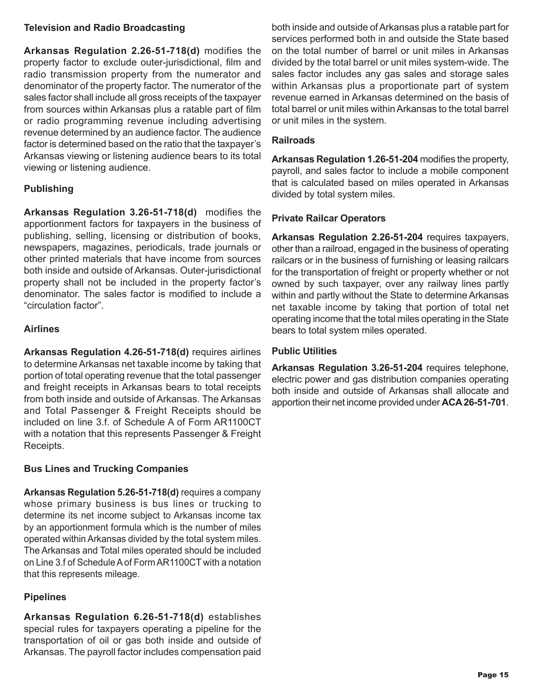#### **Television and Radio Broadcasting**

**Arkansas Regulation 2.26-51-718(d)** modifies the property factor to exclude outer-jurisdictional, film and radio transmission property from the numerator and denominator of the property factor. The numerator of the sales factor shall include all gross receipts of the taxpayer from sources within Arkansas plus a ratable part of film or radio programming revenue including advertising revenue determined by an audience factor. The audience factor is determined based on the ratio that the taxpayer's Arkansas viewing or listening audience bears to its total viewing or listening audience.

#### **Publishing**

**Arkansas Regulation 3.26-51-718(d)** modifies the apportionment factors for taxpayers in the business of publishing, selling, licensing or distribution of books, newspapers, magazines, periodicals, trade journals or other printed materials that have income from sources both inside and outside of Arkansas. Outer-jurisdictional property shall not be included in the property factor's denominator. The sales factor is modified to include a "circulation factor".

#### **Airlines**

**Arkansas Regulation 4.26-51-718(d)** requires airlines to determine Arkansas net taxable income by taking that portion of total operating revenue that the total passenger and freight receipts in Arkansas bears to total receipts from both inside and outside of Arkansas. The Arkansas and Total Passenger & Freight Receipts should be included on line 3.f. of Schedule A of Form AR1100CT with a notation that this represents Passenger & Freight Receipts.

#### **Bus Lines and Trucking Companies**

**Arkansas Regulation 5.26-51-718(d)** requires a company whose primary business is bus lines or trucking to determine its net income subject to Arkansas income tax by an apportionment formula which is the number of miles operated within Arkansas divided by the total system miles. The Arkansas and Total miles operated should be included on Line 3.f of Schedule A of Form AR1100CT with a notation that this represents mileage.

#### **Pipelines**

 $\overline{a}$ **Arkansas Regulation 6.26-51-718(d)** establishes special rules for taxpayers operating a pipeline for the transportation of oil or gas both inside and outside of Arkansas. The payroll factor includes compensation paid

both inside and outside of Arkansas plus a ratable part for services performed both in and outside the State based on the total number of barrel or unit miles in Arkansas divided by the total barrel or unit miles system-wide. The sales factor includes any gas sales and storage sales within Arkansas plus a proportionate part of system revenue earned in Arkansas determined on the basis of total barrel or unit miles within Arkansas to the total barrel or unit miles in the system.

#### **Railroads**

**Arkansas Regulation 1.26-51-204** modifies the property, payroll, and sales factor to include a mobile component that is calculated based on miles operated in Arkansas divided by total system miles.

#### **Private Railcar Operators**

**Arkansas Regulation 2.26-51-204** requires taxpayers, other than a railroad, engaged in the business of operating railcars or in the business of furnishing or leasing railcars for the transportation of freight or property whether or not owned by such taxpayer, over any railway lines partly within and partly without the State to determine Arkansas net taxable income by taking that portion of total net operating income that the total miles operating in the State bears to total system miles operated.

#### **Public Utilities**

**Arkansas Regulation 3.26-51-204** requires telephone, electric power and gas distribution companies operating both inside and outside of Arkansas shall allocate and apportion their net income provided under **ACA 26-51-701**.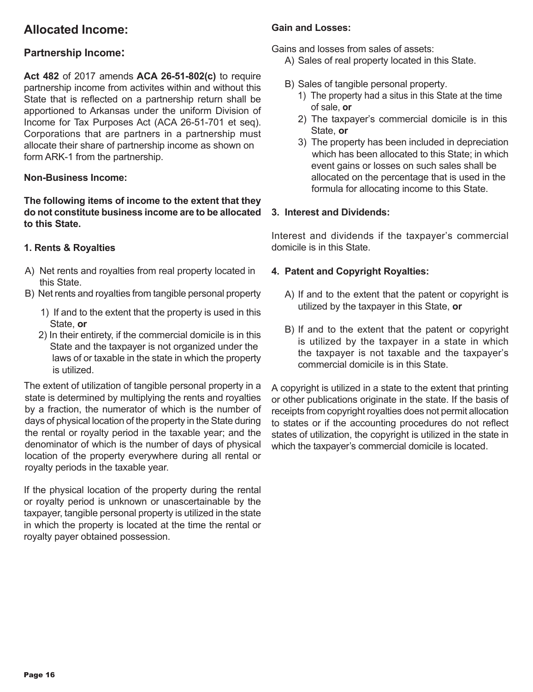### **Allocated Income:**

#### **Partnership Income:**

**Act 482** of 2017 amends **ACA 26-51-802(c)** to require partnership income from activites within and without this State that is reflected on a partnership return shall be apportioned to Arkansas under the uniform Division of Income for Tax Purposes Act (ACA 26-51-701 et seq). Corporations that are partners in a partnership must allocate their share of partnership income as shown on form ARK-1 from the partnership.

#### **Non-Business Income:**

**The following items of income to the extent that they do not constitute business income are to be allocated to this State.**

#### **1. Rents & Royalties**

- A) Net rents and royalties from real property located in this State.
- B) Net rents and royalties from tangible personal property
	- 1) If and to the extent that the property is used in this State, **or**
	- 2) In their entirety, if the commercial domicile is in this State and the taxpayer is not organized under the laws of or taxable in the state in which the property is utilized.

The extent of utilization of tangible personal property in a state is determined by multiplying the rents and royalties by a fraction, the numerator of which is the number of days of physical location of the property in the State during the rental or royalty period in the taxable year; and the denominator of which is the number of days of physical location of the property everywhere during all rental or royalty periods in the taxable year.

If the physical location of the property during the rental or royalty period is unknown or unascertainable by the taxpayer, tangible personal property is utilized in the state in which the property is located at the time the rental or royalty payer obtained possession.

#### **Gain and Losses:**

Gains and losses from sales of assets:

- A) Sales of real property located in this State.
- B) Sales of tangible personal property.
	- 1) The property had a situs in this State at the time of sale, **or**
	- 2) The taxpayer's commercial domicile is in this State, **or**
	- 3) The property has been included in depreciation which has been allocated to this State; in which event gains or losses on such sales shall be allocated on the percentage that is used in the formula for allocating income to this State.

#### **3. Interest and Dividends:**

Interest and dividends if the taxpayer's commercial domicile is in this State.

#### **4. Patent and Copyright Royalties:**

- A) If and to the extent that the patent or copyright is utilized by the taxpayer in this State, **or**
- B) If and to the extent that the patent or copyright is utilized by the taxpayer in a state in which the taxpayer is not taxable and the taxpayer's commercial domicile is in this State.

A copyright is utilized in a state to the extent that printing or other publications originate in the state. If the basis of receipts from copyright royalties does not permit allocation to states or if the accounting procedures do not reflect states of utilization, the copyright is utilized in the state in which the taxpayer's commercial domicile is located.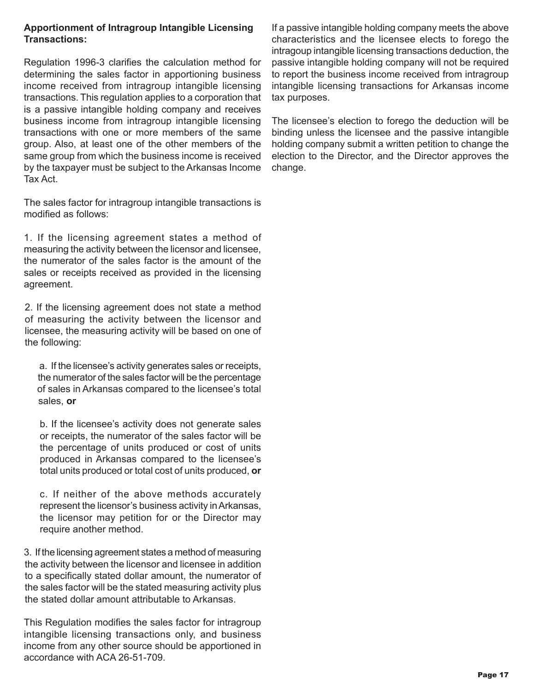#### **Apportionment of Intragroup Intangible Licensing Transactions:**

Regulation 1996-3 clarifies the calculation method for determining the sales factor in apportioning business income received from intragroup intangible licensing transactions. This regulation applies to a corporation that is a passive intangible holding company and receives business income from intragroup intangible licensing transactions with one or more members of the same group. Also, at least one of the other members of the same group from which the business income is received by the taxpayer must be subject to the Arkansas Income Tax Act.

The sales factor for intragroup intangible transactions is modified as follows:

1. If the licensing agreement states a method of measuring the activity between the licensor and licensee, the numerator of the sales factor is the amount of the sales or receipts received as provided in the licensing agreement.

2. If the licensing agreement does not state a method of measuring the activity between the licensor and licensee, the measuring activity will be based on one of the following:

 a. If the licensee's activity generates sales or receipts, the numerator of the sales factor will be the percentage of sales in Arkansas compared to the licensee's total sales, **or**

b. If the licensee's activity does not generate sales or receipts, the numerator of the sales factor will be the percentage of units produced or cost of units produced in Arkansas compared to the licensee's total units produced or total cost of units produced, **or**

c. If neither of the above methods accurately represent the licensor's business activity in Arkansas, the licensor may petition for or the Director may require another method.

3. If the licensing agreement states a method of measuring the activity between the licensor and licensee in addition to a specifically stated dollar amount, the numerator of the sales factor will be the stated measuring activity plus the stated dollar amount attributable to Arkansas.

This Regulation modifies the sales factor for intragroup intangible licensing transactions only, and business income from any other source should be apportioned in accordance with ACA 26-51-709.

If a passive intangible holding company meets the above characteristics and the licensee elects to forego the intragoup intangible licensing transactions deduction, the passive intangible holding company will not be required to report the business income received from intragroup intangible licensing transactions for Arkansas income tax purposes.

The licensee's election to forego the deduction will be binding unless the licensee and the passive intangible holding company submit a written petition to change the election to the Director, and the Director approves the change.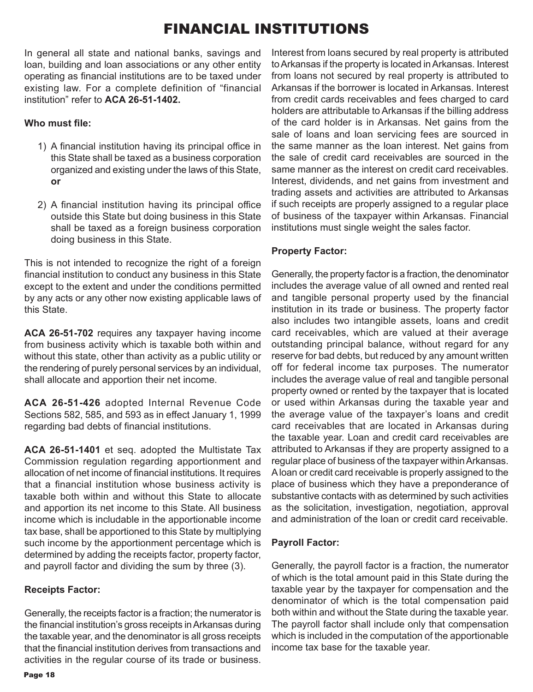### FINANCIAL INSTITUTIONS

In general all state and national banks, savings and loan, building and loan associations or any other entity operating as financial institutions are to be taxed under existing law. For a complete definition of "financial institution" refer to **ACA 26-51-1402.**

#### **Who must file:**

- 1) A financial institution having its principal office in this State shall be taxed as a business corporation organized and existing under the laws of this State, **or**
- 2) A financial institution having its principal office outside this State but doing business in this State shall be taxed as a foreign business corporation doing business in this State.

This is not intended to recognize the right of a foreign financial institution to conduct any business in this State except to the extent and under the conditions permitted by any acts or any other now existing applicable laws of this State.

**ACA 26-51-702** requires any taxpayer having income from business activity which is taxable both within and without this state, other than activity as a public utility or the rendering of purely personal services by an individual, shall allocate and apportion their net income.

**ACA 26-51-426** adopted Internal Revenue Code Sections 582, 585, and 593 as in effect January 1, 1999 regarding bad debts of financial institutions.

**ACA 26-51-1401** et seq. adopted the Multistate Tax Commission regulation regarding apportionment and allocation of net income of financial institutions. It requires that a financial institution whose business activity is taxable both within and without this State to allocate and apportion its net income to this State. All business income which is includable in the apportionable income tax base, shall be apportioned to this State by multiplying such income by the apportionment percentage which is determined by adding the receipts factor, property factor, and payroll factor and dividing the sum by three (3).

#### **Receipts Factor:**

Generally, the receipts factor is a fraction; the numerator is the financial institution's gross receipts in Arkansas during the taxable year, and the denominator is all gross receipts that the financial institution derives from transactions and activities in the regular course of its trade or business. Interest from loans secured by real property is attributed to Arkansas if the property is located in Arkansas. Interest from loans not secured by real property is attributed to Arkansas if the borrower is located in Arkansas. Interest from credit cards receivables and fees charged to card holders are attributable to Arkansas if the billing address of the card holder is in Arkansas. Net gains from the sale of loans and loan servicing fees are sourced in the same manner as the loan interest. Net gains from the sale of credit card receivables are sourced in the same manner as the interest on credit card receivables. Interest, dividends, and net gains from investment and trading assets and activities are attributed to Arkansas if such receipts are properly assigned to a regular place of business of the taxpayer within Arkansas. Financial institutions must single weight the sales factor.

#### **Property Factor:**

Generally, the property factor is a fraction, the denominator includes the average value of all owned and rented real and tangible personal property used by the financial institution in its trade or business. The property factor also includes two intangible assets, loans and credit card receivables, which are valued at their average outstanding principal balance, without regard for any reserve for bad debts, but reduced by any amount written off for federal income tax purposes. The numerator includes the average value of real and tangible personal property owned or rented by the taxpayer that is located or used within Arkansas during the taxable year and the average value of the taxpayer's loans and credit card receivables that are located in Arkansas during the taxable year. Loan and credit card receivables are attributed to Arkansas if they are property assigned to a regular place of business of the taxpayer within Arkansas. A loan or credit card receivable is properly assigned to the place of business which they have a preponderance of substantive contacts with as determined by such activities as the solicitation, investigation, negotiation, approval and administration of the loan or credit card receivable.

#### **Payroll Factor:**

Generally, the payroll factor is a fraction, the numerator of which is the total amount paid in this State during the taxable year by the taxpayer for compensation and the denominator of which is the total compensation paid both within and without the State during the taxable year. The payroll factor shall include only that compensation which is included in the computation of the apportionable income tax base for the taxable year.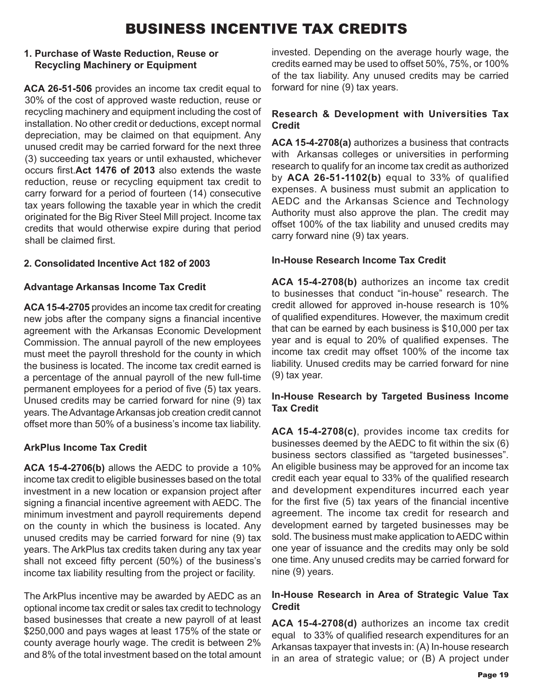### BUSINESS INCENTIVE TAX CREDITS

#### **1. Purchase of Waste Reduction, Reuse or Recycling Machinery or Equipment**

**ACA 26-51-506** provides an income tax credit equal to 30% of the cost of approved waste reduction, reuse or recycling machinery and equipment including the cost of installation. No other credit or deductions, except normal depreciation, may be claimed on that equipment. Any unused credit may be carried forward for the next three (3) succeeding tax years or until exhausted, whichever occurs first.**Act 1476 of 2013** also extends the waste reduction, reuse or recycling equipment tax credit to carry forward for a period of fourteen (14) consecutive tax years following the taxable year in which the credit originated for the Big River Steel Mill project. Income tax credits that would otherwise expire during that period shall be claimed first.

#### **2. Consolidated Incentive Act 182 of 2003**

#### **Advantage Arkansas Income Tax Credit**

**ACA 15-4-2705** provides an income tax credit for creating new jobs after the company signs a financial incentive agreement with the Arkansas Economic Development Commission. The annual payroll of the new employees must meet the payroll threshold for the county in which the business is located. The income tax credit earned is a percentage of the annual payroll of the new full-time permanent employees for a period of five (5) tax years. Unused credits may be carried forward for nine (9) tax years. The Advantage Arkansas job creation credit cannot offset more than 50% of a business's income tax liability.

#### **ArkPlus Income Tax Credit**

**ACA 15-4-2706(b)** allows the AEDC to provide a 10% income tax credit to eligible businesses based on the total investment in a new location or expansion project after signing a financial incentive agreement with AEDC. The minimum investment and payroll requirements depend on the county in which the business is located. Any unused credits may be carried forward for nine (9) tax years. The ArkPlus tax credits taken during any tax year shall not exceed fifty percent (50%) of the business's income tax liability resulting from the project or facility.

The ArkPlus incentive may be awarded by AEDC as an optional income tax credit or sales tax credit to technology based businesses that create a new payroll of at least \$250,000 and pays wages at least 175% of the state or county average hourly wage. The credit is between 2% and 8% of the total investment based on the total amount invested. Depending on the average hourly wage, the credits earned may be used to offset 50%, 75%, or 100% of the tax liability. Any unused credits may be carried forward for nine (9) tax years.

### **Research & Development with Universities Tax Credit**

**ACA 15-4-2708(a)** authorizes a business that contracts with Arkansas colleges or universities in performing research to qualify for an income tax credit as authorized by **ACA 26-51-1102(b)** equal to 33% of qualified expenses. A business must submit an application to AEDC and the Arkansas Science and Technology Authority must also approve the plan. The credit may offset 100% of the tax liability and unused credits may carry forward nine (9) tax years.

#### **In-House Research Income Tax Credit**

**ACA 15-4-2708(b)** authorizes an income tax credit to businesses that conduct "in-house" research. The credit allowed for approved in-house research is 10% of qualified expenditures. However, the maximum credit that can be earned by each business is \$10,000 per tax year and is equal to 20% of qualified expenses. The income tax credit may offset 100% of the income tax liability. Unused credits may be carried forward for nine (9) tax year.

#### **In-House Research by Targeted Business Income Tax Credit**

**ACA 15-4-2708(c)**, provides income tax credits for businesses deemed by the AEDC to fit within the six (6) business sectors classified as "targeted businesses". An eligible business may be approved for an income tax credit each year equal to 33% of the qualified research and development expenditures incurred each year for the first five (5) tax years of the financial incentive agreement. The income tax credit for research and development earned by targeted businesses may be sold. The business must make application to AEDC within one year of issuance and the credits may only be sold one time. Any unused credits may be carried forward for nine (9) years.

#### **In-House Research in Area of Strategic Value Tax Credit**

**ACA 15-4-2708(d)** authorizes an income tax credit equal to 33% of qualified research expenditures for an Arkansas taxpayer that invests in: (A) In-house research in an area of strategic value; or (B) A project under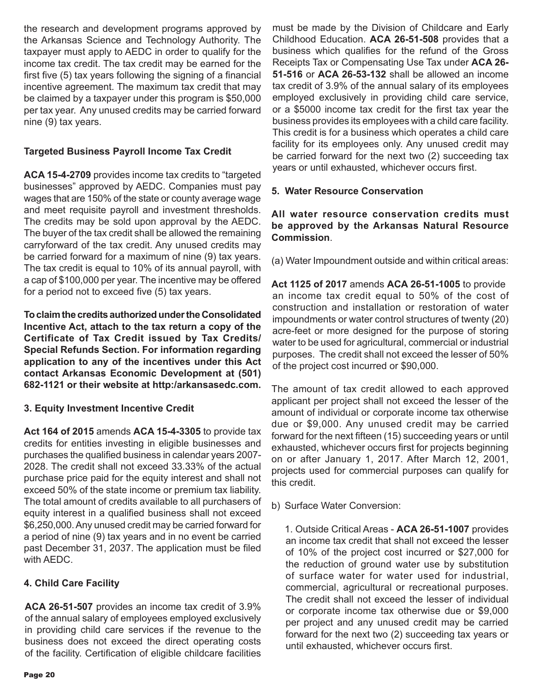the research and development programs approved by the Arkansas Science and Technology Authority. The taxpayer must apply to AEDC in order to qualify for the income tax credit. The tax credit may be earned for the first five (5) tax years following the signing of a financial incentive agreement. The maximum tax credit that may be claimed by a taxpayer under this program is \$50,000 per tax year. Any unused credits may be carried forward nine (9) tax years.

#### **Targeted Business Payroll Income Tax Credit**

**ACA 15-4-2709** provides income tax credits to "targeted businesses" approved by AEDC. Companies must pay wages that are 150% of the state or county average wage and meet requisite payroll and investment thresholds. The credits may be sold upon approval by the AEDC. The buyer of the tax credit shall be allowed the remaining carryforward of the tax credit. Any unused credits may be carried forward for a maximum of nine (9) tax years. The tax credit is equal to 10% of its annual payroll, with a cap of \$100,000 per year. The incentive may be offered for a period not to exceed five (5) tax years.

**To claim the credits authorized under the Consolidated Incentive Act, attach to the tax return a copy of the Certificate of Tax Credit issued by Tax Credits/ Special Refunds Section. For information regarding application to any of the incentives under this Act contact Arkansas Economic Development at (501) 682-1121 or their website at http:/arkansasedc.com.** 

#### **3. Equity Investment Incentive Credit**

**Act 164 of 2015** amends **ACA 15-4-3305** to provide tax credits for entities investing in eligible businesses and purchases the qualified business in calendar years 2007- 2028. The credit shall not exceed 33.33% of the actual purchase price paid for the equity interest and shall not exceed 50% of the state income or premium tax liability. The total amount of credits available to all purchasers of equity interest in a qualified business shall not exceed \$6,250,000. Any unused credit may be carried forward for a period of nine (9) tax years and in no event be carried past December 31, 2037. The application must be filed with AEDC.

#### **4. Child Care Facility**

**ACA 26-51-507** provides an income tax credit of 3.9% of the annual salary of employees employed exclusively in providing child care services if the revenue to the business does not exceed the direct operating costs of the facility. Certification of eligible childcare facilities

must be made by the Division of Childcare and Early Childhood Education. **ACA 26-51-508** provides that a business which qualifies for the refund of the Gross Receipts Tax or Compensating Use Tax under **ACA 26- 51-516** or **ACA 26-53-132** shall be allowed an income tax credit of 3.9% of the annual salary of its employees employed exclusively in providing child care service, or a \$5000 income tax credit for the first tax year the business provides its employees with a child care facility. This credit is for a business which operates a child care facility for its employees only. Any unused credit may be carried forward for the next two (2) succeeding tax years or until exhausted, whichever occurs first.

#### **5. Water Resource Conservation**

#### **All water resource conservation credits must be approved by the Arkansas Natural Resource Commission**.

(a) Water Impoundment outside and within critical areas:

**Act 1125 of 2017** amends **ACA 26-51-1005** to provide an income tax credit equal to 50% of the cost of construction and installation or restoration of water impoundments or water control structures of twenty (20) acre-feet or more designed for the purpose of storing water to be used for agricultural, commercial or industrial purposes. The credit shall not exceed the lesser of 50% of the project cost incurred or \$90,000.

The amount of tax credit allowed to each approved applicant per project shall not exceed the lesser of the amount of individual or corporate income tax otherwise due or \$9,000. Any unused credit may be carried forward for the next fifteen (15) succeeding years or until exhausted, whichever occurs first for projects beginning on or after January 1, 2017. After March 12, 2001, projects used for commercial purposes can qualify for this credit.

b) Surface Water Conversion:

1. Outside Critical Areas - **ACA 26-51-1007** provides an income tax credit that shall not exceed the lesser of 10% of the project cost incurred or \$27,000 for the reduction of ground water use by substitution of surface water for water used for industrial, commercial, agricultural or recreational purposes. The credit shall not exceed the lesser of individual or corporate income tax otherwise due or \$9,000 per project and any unused credit may be carried forward for the next two (2) succeeding tax years or until exhausted, whichever occurs first.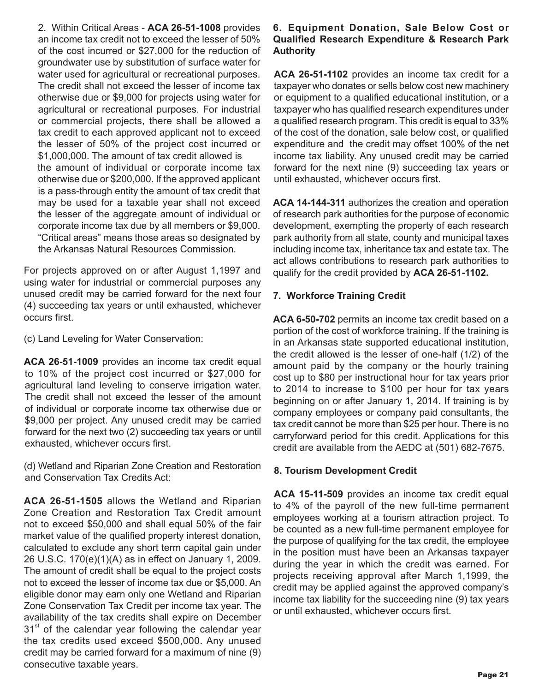2. Within Critical Areas - **ACA 26-51-1008** provides an income tax credit not to exceed the lesser of 50% of the cost incurred or \$27,000 for the reduction of groundwater use by substitution of surface water for water used for agricultural or recreational purposes. The credit shall not exceed the lesser of income tax otherwise due or \$9,000 for projects using water for agricultural or recreational purposes. For industrial or commercial projects, there shall be allowed a tax credit to each approved applicant not to exceed the lesser of 50% of the project cost incurred or \$1,000,000. The amount of tax credit allowed is the amount of individual or corporate income tax otherwise due or \$200,000. If the approved applicant is a pass-through entity the amount of tax credit that may be used for a taxable year shall not exceed the lesser of the aggregate amount of individual or corporate income tax due by all members or \$9,000. "Critical areas" means those areas so designated by the Arkansas Natural Resources Commission.

For projects approved on or after August 1,1997 and using water for industrial or commercial purposes any unused credit may be carried forward for the next four (4) succeeding tax years or until exhausted, whichever occurs first.

(c) Land Leveling for Water Conservation:

**ACA 26-51-1009** provides an income tax credit equal to 10% of the project cost incurred or \$27,000 for agricultural land leveling to conserve irrigation water. The credit shall not exceed the lesser of the amount of individual or corporate income tax otherwise due or \$9,000 per project. Any unused credit may be carried forward for the next two (2) succeeding tax years or until exhausted, whichever occurs first.

(d) Wetland and Riparian Zone Creation and Restoration and Conservation Tax Credits Act:

**ACA 26-51-1505** allows the Wetland and Riparian Zone Creation and Restoration Tax Credit amount not to exceed \$50,000 and shall equal 50% of the fair market value of the qualified property interest donation, calculated to exclude any short term capital gain under 26 U.S.C. 170(e)(1)(A) as in effect on January 1, 2009. The amount of credit shall be equal to the project costs not to exceed the lesser of income tax due or \$5,000. An eligible donor may earn only one Wetland and Riparian Zone Conservation Tax Credit per income tax year. The availability of the tax credits shall expire on December  $31<sup>st</sup>$  of the calendar year following the calendar year the tax credits used exceed \$500,000. Any unused credit may be carried forward for a maximum of nine (9) consecutive taxable years.

#### **6. Equipment Donation, Sale Below Cost or Qualified Research Expenditure & Research Park Authority**

**ACA 26-51-1102** provides an income tax credit for a taxpayer who donates or sells below cost new machinery or equipment to a qualified educational institution, or a taxpayer who has qualified research expenditures under a qualified research program. This credit is equal to 33% of the cost of the donation, sale below cost, or qualified expenditure and the credit may offset 100% of the net income tax liability. Any unused credit may be carried forward for the next nine (9) succeeding tax years or until exhausted, whichever occurs first.

**ACA 14-144-311** authorizes the creation and operation of research park authorities for the purpose of economic development, exempting the property of each research park authority from all state, county and municipal taxes including income tax, inheritance tax and estate tax. The act allows contributions to research park authorities to qualify for the credit provided by **ACA 26-51-1102.** 

#### **7. Workforce Training Credit**

**ACA 6-50-702** permits an income tax credit based on a portion of the cost of workforce training. If the training is in an Arkansas state supported educational institution, the credit allowed is the lesser of one-half (1/2) of the amount paid by the company or the hourly training cost up to \$80 per instructional hour for tax years prior to 2014 to increase to \$100 per hour for tax years beginning on or after January 1, 2014. If training is by company employees or company paid consultants, the tax credit cannot be more than \$25 per hour. There is no carryforward period for this credit. Applications for this credit are available from the AEDC at (501) 682-7675.

#### **8. Tourism Development Credit**

**ACA 15-11-509** provides an income tax credit equal to 4% of the payroll of the new full-time permanent employees working at a tourism attraction project. To be counted as a new full-time permanent employee for the purpose of qualifying for the tax credit, the employee in the position must have been an Arkansas taxpayer during the year in which the credit was earned. For projects receiving approval after March 1,1999, the credit may be applied against the approved company's income tax liability for the succeeding nine (9) tax years or until exhausted, whichever occurs first.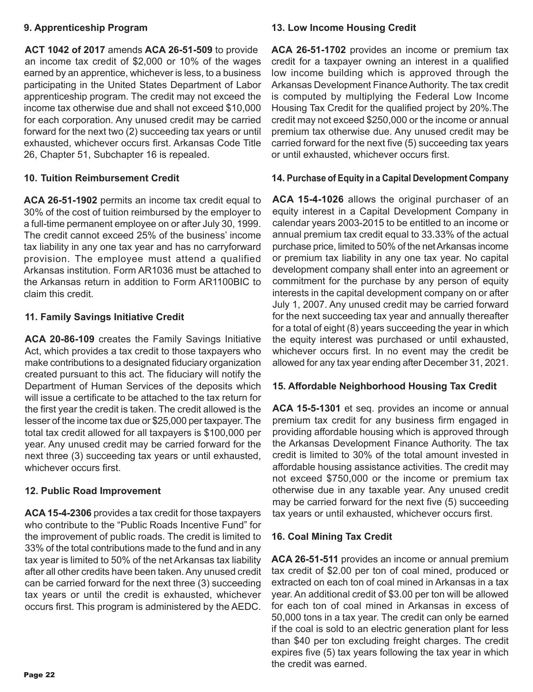#### **9. Apprenticeship Program**

**ACT 1042 of 2017** amends **ACA 26-51-509** to provide an income tax credit of \$2,000 or 10% of the wages earned by an apprentice, whichever is less, to a business participating in the United States Department of Labor apprenticeship program. The credit may not exceed the income tax otherwise due and shall not exceed \$10,000 for each corporation. Any unused credit may be carried forward for the next two (2) succeeding tax years or until exhausted, whichever occurs first. Arkansas Code Title 26, Chapter 51, Subchapter 16 is repealed.

#### **10. Tuition Reimbursement Credit**

**ACA 26-51-1902** permits an income tax credit equal to 30% of the cost of tuition reimbursed by the employer to a full-time permanent employee on or after July 30, 1999. The credit cannot exceed 25% of the business' income tax liability in any one tax year and has no carryforward provision. The employee must attend a qualified Arkansas institution. Form AR1036 must be attached to the Arkansas return in addition to Form AR1100BIC to claim this credit.

#### **11. Family Savings Initiative Credit**

**ACA 20-86-109** creates the Family Savings Initiative Act, which provides a tax credit to those taxpayers who make contributions to a designated fiduciary organization created pursuant to this act. The fiduciary will notify the Department of Human Services of the deposits which will issue a certificate to be attached to the tax return for the first year the credit is taken. The credit allowed is the lesser of the income tax due or \$25,000 per taxpayer. The total tax credit allowed for all taxpayers is \$100,000 per year. Any unused credit may be carried forward for the next three (3) succeeding tax years or until exhausted, whichever occurs first.

#### **12. Public Road Improvement**

**ACA 15-4-2306** provides a tax credit for those taxpayers who contribute to the "Public Roads Incentive Fund" for the improvement of public roads. The credit is limited to 33% of the total contributions made to the fund and in any tax year is limited to 50% of the net Arkansas tax liability after all other credits have been taken. Any unused credit can be carried forward for the next three (3) succeeding tax years or until the credit is exhausted, whichever occurs first. This program is administered by the AEDC.

#### **13. Low Income Housing Credit**

**ACA 26-51-1702** provides an income or premium tax credit for a taxpayer owning an interest in a qualified low income building which is approved through the Arkansas Development Finance Authority. The tax credit is computed by multiplying the Federal Low Income Housing Tax Credit for the qualified project by 20%.The credit may not exceed \$250,000 or the income or annual premium tax otherwise due. Any unused credit may be carried forward for the next five (5) succeeding tax years or until exhausted, whichever occurs first.

#### **14. Purchase of Equity in a Capital Development Company**

**ACA 15-4-1026** allows the original purchaser of an equity interest in a Capital Development Company in calendar years 2003-2015 to be entitled to an income or annual premium tax credit equal to 33.33% of the actual purchase price, limited to 50% of the net Arkansas income or premium tax liability in any one tax year. No capital development company shall enter into an agreement or commitment for the purchase by any person of equity interests in the capital development company on or after July 1, 2007. Any unused credit may be carried forward for the next succeeding tax year and annually thereafter for a total of eight (8) years succeeding the year in which the equity interest was purchased or until exhausted, whichever occurs first. In no event may the credit be allowed for any tax year ending after December 31, 2021.

#### **15. Affordable Neighborhood Housing Tax Credit**

**ACA 15-5-1301** et seq. provides an income or annual premium tax credit for any business firm engaged in providing affordable housing which is approved through the Arkansas Development Finance Authority. The tax credit is limited to 30% of the total amount invested in affordable housing assistance activities. The credit may not exceed \$750,000 or the income or premium tax otherwise due in any taxable year. Any unused credit may be carried forward for the next five (5) succeeding tax years or until exhausted, whichever occurs first.

#### **16. Coal Mining Tax Credit**

**ACA 26-51-511** provides an income or annual premium tax credit of \$2.00 per ton of coal mined, produced or extracted on each ton of coal mined in Arkansas in a tax year. An additional credit of \$3.00 per ton will be allowed for each ton of coal mined in Arkansas in excess of 50,000 tons in a tax year. The credit can only be earned if the coal is sold to an electric generation plant for less than \$40 per ton excluding freight charges. The credit expires five (5) tax years following the tax year in which the credit was earned.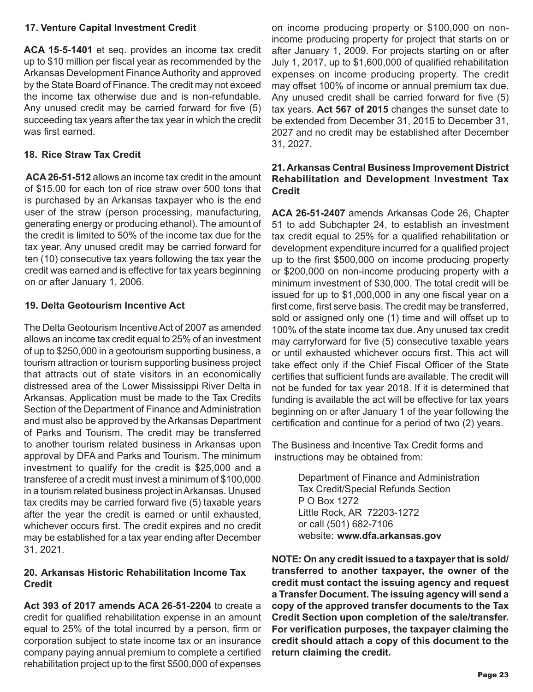#### **17. Venture Capital Investment Credit**

**ACA 15-5-1401** et seq. provides an income tax credit up to \$10 million per fiscal year as recommended by the Arkansas Development Finance Authority and approved by the State Board of Finance. The credit may not exceed the income tax otherwise due and is non-refundable. Any unused credit may be carried forward for five (5) succeeding tax years after the tax year in which the credit was first earned

#### **18. Rice Straw Tax Credit**

**ACA 26-51-512** allows an income tax credit in the amount of \$15.00 for each ton of rice straw over 500 tons that is purchased by an Arkansas taxpayer who is the end user of the straw (person processing, manufacturing, generating energy or producing ethanol). The amount of the credit is limited to 50% of the income tax due for the tax year. Any unused credit may be carried forward for ten (10) consecutive tax years following the tax year the credit was earned and is effective for tax years beginning on or after January 1, 2006.

#### **19. Delta Geotourism Incentive Act**

The Delta Geotourism Incentive Act of 2007 as amended allows an income tax credit equal to 25% of an investment of up to \$250,000 in a geotourism supporting business, a tourism attraction or tourism supporting business project that attracts out of state visitors in an economically distressed area of the Lower Mississippi River Delta in Arkansas. Application must be made to the Tax Credits Section of the Department of Finance and Administration and must also be approved by the Arkansas Department of Parks and Tourism. The credit may be transferred to another tourism related business in Arkansas upon approval by DFA and Parks and Tourism. The minimum investment to qualify for the credit is \$25,000 and a transferee of a credit must invest a minimum of \$100,000 in a tourism related business project in Arkansas. Unused tax credits may be carried forward five (5) taxable years after the year the credit is earned or until exhausted, whichever occurs first. The credit expires and no credit may be established for a tax year ending after December 31, 2021.

#### **20. Arkansas Historic Rehabilitation Income Tax Credit**

**Act 393 of 2017 amends ACA 26-51-2204** to create a credit for qualified rehabilitation expense in an amount equal to 25% of the total incurred by a person, firm or corporation subject to state income tax or an insurance company paying annual premium to complete a certified rehabilitation project up to the first \$500,000 of expenses

on income producing property or \$100,000 on nonincome producing property for project that starts on or after January 1, 2009. For projects starting on or after July 1, 2017, up to \$1,600,000 of qualified rehabilitation expenses on income producing property. The credit may offset 100% of income or annual premium tax due. Any unused credit shall be carried forward for five (5) tax years. **Act 567 of 2015** changes the sunset date to be extended from December 31, 2015 to December 31, 2027 and no credit may be established after December 31, 2027.

#### **21. Arkansas Central Business Improvement District Rehabilitation and Development Investment Tax Credit**

**ACA 26-51-2407** amends Arkansas Code 26, Chapter 51 to add Subchapter 24, to establish an investment tax credit equal to 25% for a qualified rehabilitation or development expenditure incurred for a qualified project up to the first \$500,000 on income producing property or \$200,000 on non-income producing property with a minimum investment of \$30,000. The total credit will be issued for up to \$1,000,000 in any one fiscal year on a first come, first serve basis. The credit may be transferred, sold or assigned only one (1) time and will offset up to 100% of the state income tax due. Any unused tax credit may carryforward for five (5) consecutive taxable years or until exhausted whichever occurs first. This act will take effect only if the Chief Fiscal Officer of the State certifies that sufficient funds are available. The credit will not be funded for tax year 2018. If it is determined that funding is available the act will be effective for tax years beginning on or after January 1 of the year following the certification and continue for a period of two (2) years.

The Business and Incentive Tax Credit forms and instructions may be obtained from:

> Department of Finance and Administration Tax Credit/Special Refunds Section P O Box 1272 Little Rock, AR 72203-1272 or call (501) 682-7106 website: **www.dfa.arkansas.gov**

**NOTE: On any credit issued to a taxpayer that is sold/ transferred to another taxpayer, the owner of the credit must contact the issuing agency and request a Transfer Document. The issuing agency will send a copy of the approved transfer documents to the Tax Credit Section upon completion of the sale/transfer. For verification purposes, the taxpayer claiming the credit should attach a copy of this document to the return claiming the credit.**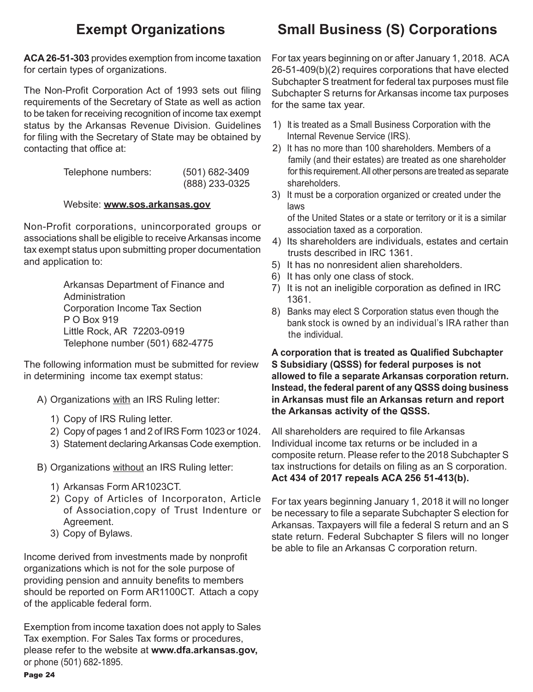**ACA 26-51-303** provides exemption from income taxation for certain types of organizations.

The Non-Profit Corporation Act of 1993 sets out filing requirements of the Secretary of State as well as action to be taken for receiving recognition of income tax exempt status by the Arkansas Revenue Division. Guidelines for filing with the Secretary of State may be obtained by contacting that office at:

| Telephone numbers: | $(501)$ 682-3409 |  |  |  |
|--------------------|------------------|--|--|--|
|                    | (888) 233-0325   |  |  |  |

#### Website: **www.sos.arkansas.gov**

Non-Profit corporations, unincorporated groups or associations shall be eligible to receive Arkansas income tax exempt status upon submitting proper documentation and application to:

> Arkansas Department of Finance and **Administration**  Corporation Income Tax Section P O Box 919 Little Rock, AR 72203-0919 Telephone number (501) 682-4775

The following information must be submitted for review in determining income tax exempt status:

- A) Organizations with an IRS Ruling letter:
	- 1) Copy of IRS Ruling letter.
	- 2) Copy of pages 1 and 2 of IRS Form 1023 or 1024.
	- 3) Statement declaring Arkansas Code exemption.

B) Organizations without an IRS Ruling letter:

- 1) Arkansas Form AR1023CT.
- 2) Copy of Articles of Incorporaton, Article of Association,copy of Trust Indenture or Agreement.
- 3) Copy of Bylaws.

Income derived from investments made by nonprofit organizations which is not for the sole purpose of providing pension and annuity benefits to members should be reported on Form AR1100CT. Attach a copy of the applicable federal form.

Page 24 Exemption from income taxation does not apply to Sales Tax exemption. For Sales Tax forms or procedures, please refer to the website at **www.dfa.arkansas.gov,** or phone (501) 682-1895.

## **Exempt Organizations Small Business (S) Corporations**

For tax years beginning on or after January 1, 2018. ACA 26-51-409(b)(2) requires corporations that have elected Subchapter S treatment for federal tax purposes must file Subchapter S returns for Arkansas income tax purposes for the same tax year.

- 1) It is treated as a Small Business Corporation with the Internal Revenue Service (IRS).
- 2) It has no more than 100 shareholders. Members of a family (and their estates) are treated as one shareholder for this requirement. All other persons are treated as separate shareholders.
- 3) It must be a corporation organized or created under the laws

 of the United States or a state or territory or it is a similar association taxed as a corporation.

- 4) Its shareholders are individuals, estates and certain trusts described in IRC 1361.
- 5) It has no nonresident alien shareholders.
- 6) It has only one class of stock.
- 7) It is not an ineligible corporation as defined in IRC 1361.
- 8) Banks may elect S Corporation status even though the bank stock is owned by an individual's IRA rather than the individual.

**A corporation that is treated as Qualified Subchapter S Subsidiary (QSSS) for federal purposes is not allowed to file a separate Arkansas corporation return. Instead, the federal parent of any QSSS doing business in Arkansas must file an Arkansas return and report the Arkansas activity of the QSSS.**

All shareholders are required to file Arkansas Individual income tax returns or be included in a composite return. Please refer to the 2018 Subchapter S tax instructions for details on filing as an S corporation. **Act 434 of 2017 repeals ACA 256 51-413(b).**

For tax years beginning January 1, 2018 it will no longer be necessary to file a separate Subchapter S election for Arkansas. Taxpayers will file a federal S return and an S state return. Federal Subchapter S filers will no longer be able to file an Arkansas C corporation return.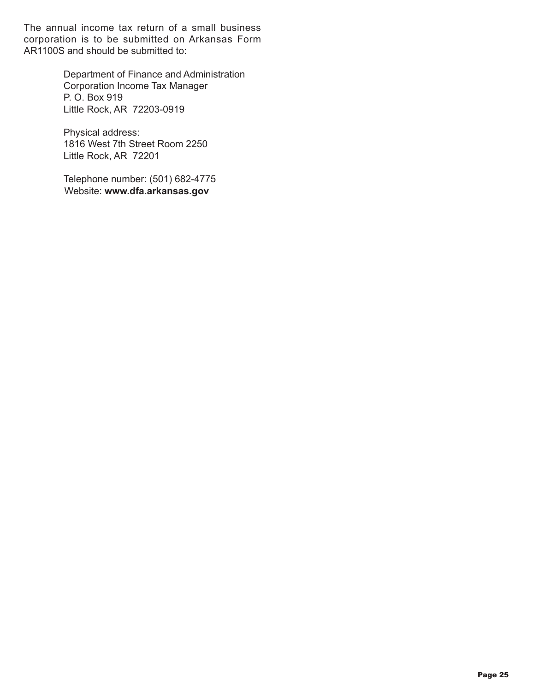The annual income tax return of a small business corporation is to be submitted on Arkansas Form AR1100S and should be submitted to:

> Department of Finance and Administration Corporation Income Tax Manager P. O. Box 919 Little Rock, AR 72203-0919

Physical address: 1816 West 7th Street Room 2250 Little Rock, AR 72201

Telephone number: (501) 682-4775 Website: **www.dfa.arkansas.gov**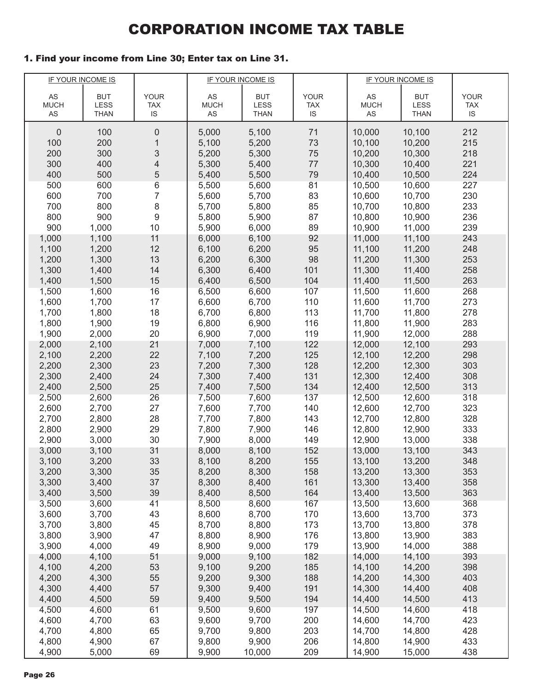### CORPORATION INCOME TAX TABLE

#### 1. Find your income from Line 30; Enter tax on Line 31.

|                | <b>IF YOUR INCOME IS</b> |             |                | IF YOUR INCOME IS |             | IF YOUR INCOME IS |                  |             |
|----------------|--------------------------|-------------|----------------|-------------------|-------------|-------------------|------------------|-------------|
| AS             | <b>BUT</b>               | <b>YOUR</b> | AS             | <b>BUT</b>        | <b>YOUR</b> | AS                | <b>BUT</b>       | <b>YOUR</b> |
| <b>MUCH</b>    | LESS                     | <b>TAX</b>  | <b>MUCH</b>    | LESS              | <b>TAX</b>  | <b>MUCH</b>       | LESS             | <b>TAX</b>  |
| AS             | THAN                     | IS          | AS             | <b>THAN</b>       | <b>IS</b>   | AS                | <b>THAN</b>      | IS          |
| $\theta$       | 100                      | $\mathbf 0$ | 5,000          | 5,100             | 71          | 10,000            | 10,100           | 212         |
| 100            | 200                      | 1           | 5,100          | 5,200             | 73          | 10,100            | 10,200           | 215         |
| 200            | 300                      | 3           | 5,200          | 5,300             | 75          | 10,200            | 10,300           | 218         |
| 300            | 400                      | 4           | 5,300          | 5,400             | 77          | 10,300            | 10,400           | 221         |
| 400            | 500                      | 5           | 5,400          | 5,500             | 79          | 10,400            | 10,500           | 224         |
| 500            | 600                      | 6           | 5,500          | 5,600             | 81          | 10,500            | 10,600           | 227         |
| 600            | 700                      | 7           | 5,600          | 5,700             | 83          | 10,600            | 10,700           | 230         |
| 700            | 800                      | 8           | 5,700          | 5,800             | 85          | 10,700            | 10,800           | 233         |
| 800            | 900                      | 9           | 5,800          | 5,900             | 87          | 10,800            | 10,900           | 236         |
| 900            | 1,000                    | 10          | 5,900          | 6,000             | 89          | 10,900            | 11,000           | 239         |
| 1,000          | 1,100                    | 11          | 6,000          | 6,100             | 92          | 11,000            | 11,100           | 243         |
| 1,100          | 1,200                    | 12          | 6,100          | 6,200             | 95          | 11,100            | 11,200           | 248         |
| 1,200          | 1,300                    | 13          | 6,200          | 6,300             | 98          | 11,200            | 11,300           | 253         |
| 1,300          | 1,400                    | 14          | 6,300          | 6,400             | 101         | 11,300            | 11,400           | 258         |
| 1,400          | 1,500                    | 15          | 6,400          | 6,500             | 104         | 11,400            | 11,500           | 263         |
| 1,500          | 1,600                    | 16          | 6,500          | 6,600             | 107         | 11,500            | 11,600           | 268         |
| 1,600          | 1,700                    | 17          | 6,600          | 6,700             | 110         | 11,600            | 11,700           | 273         |
| 1,700          | 1,800                    | 18          | 6,700          | 6,800             | 113         | 11,700            | 11,800           | 278         |
| 1,800          | 1,900                    | 19          | 6,800          | 6,900             | 116         | 11,800            | 11,900           | 283         |
| 1,900          | 2,000                    | 20          | 6,900          | 7,000             | 119         | 11,900            | 12,000           | 288         |
| 2,000          | 2,100                    | 21          | 7,000          | 7,100             | 122         | 12,000            | 12,100           | 293         |
| 2,100          | 2,200                    | 22          | 7,100          | 7,200             | 125         | 12,100            | 12,200           | 298         |
| 2,200          | 2,300                    | 23          | 7,200          | 7,300             | 128         | 12,200            | 12,300           | 303         |
| 2,300          | 2,400                    | 24          | 7,300          | 7,400             | 131         | 12,300            | 12,400           | 308         |
| 2,400          | 2,500                    | 25          | 7,400          | 7,500             | 134         | 12,400            | 12,500           | 313         |
| 2,500          | 2,600                    | 26          | 7,500          | 7,600             | 137         | 12,500            | 12,600           | 318         |
| 2,600          | 2,700                    | 27          | 7,600          | 7,700             | 140         | 12,600            | 12,700           | 323         |
| 2,700          | 2,800                    | 28          | 7,700          | 7,800             | 143         | 12,700            | 12,800           | 328         |
| 2,800          | 2,900                    | 29          | 7,800          | 7,900             | 146         | 12,800            | 12,900           | 333         |
| 2,900          | 3,000                    | 30          | 7,900          | 8,000             | 149         | 12,900            | 13,000           | 338         |
| 3,000          | 3,100                    | 31          | 8,000          | 8,100             | 152         | 13,000            | 13,100           | 343         |
| 3,100          | 3,200                    | 33          | 8,100          | 8,200             | 155         | 13,100            | 13,200           | 348         |
| 3,200          | 3,300                    | 35          | 8,200          | 8,300             | 158         | 13,200            | 13,300           | 353         |
| 3,300          | 3,400                    | 37          | 8,300          | 8,400             | 161         | 13,300            | 13,400           | 358         |
| 3,400          | 3,500                    | 39          | 8,400          | 8,500             | 164         | 13,400            | 13,500           | 363         |
| 3,500          | 3,600                    | 41          | 8,500          | 8,600             | 167         | 13,500            | 13,600           | 368         |
| 3,600          | 3,700                    | 43          | 8,600          | 8,700             | 170         | 13,600            | 13,700           | 373         |
| 3,700          | 3,800                    | 45          | 8,700          | 8,800             | 173         | 13,700            | 13,800           | 378         |
| 3,800          | 3,900                    | 47          | 8,800          | 8,900             | 176         | 13,800            | 13,900           | 383         |
| 3,900          | 4,000                    | 49          | 8,900          | 9,000             | 179         | 13,900            | 14,000           | 388         |
| 4,000<br>4,100 | 4,100<br>4,200           | 51          | 9,000          | 9,100<br>9,200    | 182<br>185  | 14,000<br>14,100  | 14,100<br>14,200 | 393         |
| 4,200          | 4,300                    | 53<br>55    | 9,100<br>9,200 | 9,300             | 188         | 14,200            | 14,300           | 398<br>403  |
| 4,300          | 4,400                    | 57          | 9,300          | 9,400             | 191         | 14,300            | 14,400           | 408         |
| 4,400          | 4,500                    | 59          | 9,400          | 9,500             | 194         | 14,400            | 14,500           | 413         |
| 4,500          | 4,600                    | 61          | 9,500          | 9,600             | 197         | 14,500            | 14,600           | 418         |
| 4,600          | 4,700                    | 63          | 9,600          | 9,700             | 200         | 14,600            | 14,700           | 423         |
| 4,700          | 4,800                    | 65          | 9,700          | 9,800             | 203         | 14,700            | 14,800           | 428         |
| 4,800          | 4,900                    | 67          | 9,800          | 9,900             | 206         | 14,800            | 14,900           | 433         |
| 4,900          | 5,000                    | 69          | 9,900          | 10,000            | 209         | 14,900            | 15,000           | 438         |